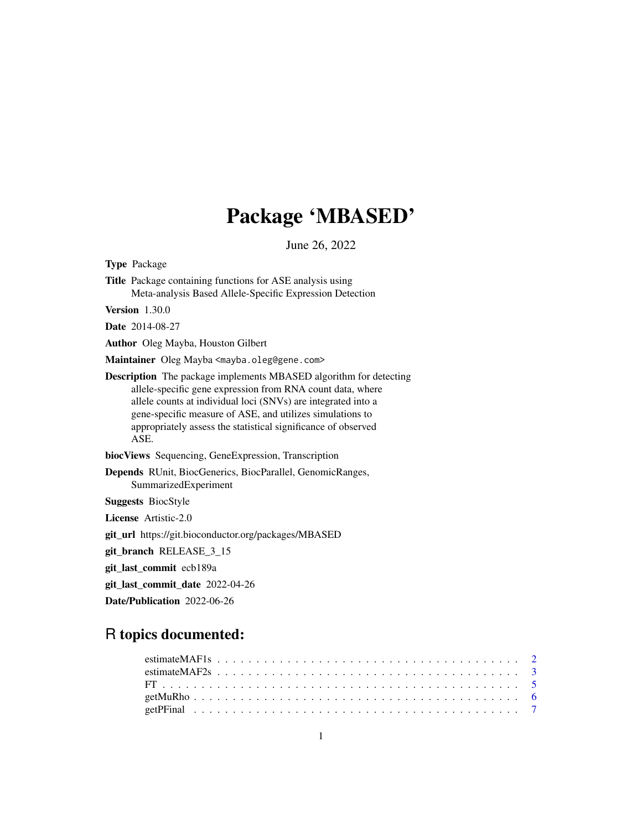## Package 'MBASED'

June 26, 2022

Type Package Title Package containing functions for ASE analysis using Meta-analysis Based Allele-Specific Expression Detection Version 1.30.0 Date 2014-08-27 Author Oleg Mayba, Houston Gilbert Maintainer Oleg Mayba <mayba.oleg@gene.com> Description The package implements MBASED algorithm for detecting allele-specific gene expression from RNA count data, where allele counts at individual loci (SNVs) are integrated into a gene-specific measure of ASE, and utilizes simulations to appropriately assess the statistical significance of observed ASE. biocViews Sequencing, GeneExpression, Transcription Depends RUnit, BiocGenerics, BiocParallel, GenomicRanges, SummarizedExperiment Suggests BiocStyle License Artistic-2.0 git\_url https://git.bioconductor.org/packages/MBASED git\_branch RELEASE\_3\_15

git\_last\_commit ecb189a

git\_last\_commit\_date 2022-04-26

Date/Publication 2022-06-26

## R topics documented: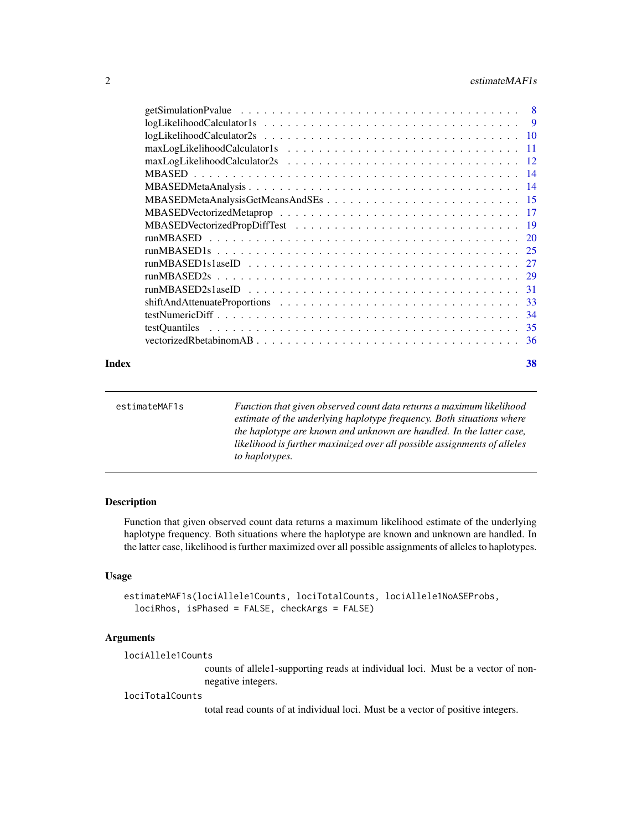#### <span id="page-1-0"></span>2 estimateMAF1s

|       | testOuantiles |    |
|-------|---------------|----|
|       |               |    |
| Index |               | 38 |

| estimateMAF1s | Function that given observed count data returns a maximum likelihood     |
|---------------|--------------------------------------------------------------------------|
|               | estimate of the underlying haplotype frequency. Both situations where    |
|               | the haplotype are known and unknown are handled. In the latter case,     |
|               | likelihood is further maximized over all possible assignments of alleles |
|               | to haplotypes.                                                           |

#### Description

Function that given observed count data returns a maximum likelihood estimate of the underlying haplotype frequency. Both situations where the haplotype are known and unknown are handled. In the latter case, likelihood is further maximized over all possible assignments of alleles to haplotypes.

#### Usage

```
estimateMAF1s(lociAllele1Counts, lociTotalCounts, lociAllele1NoASEProbs,
  lociRhos, isPhased = FALSE, checkArgs = FALSE)
```
#### Arguments

lociAllele1Counts

counts of allele1-supporting reads at individual loci. Must be a vector of nonnegative integers.

#### lociTotalCounts

total read counts of at individual loci. Must be a vector of positive integers.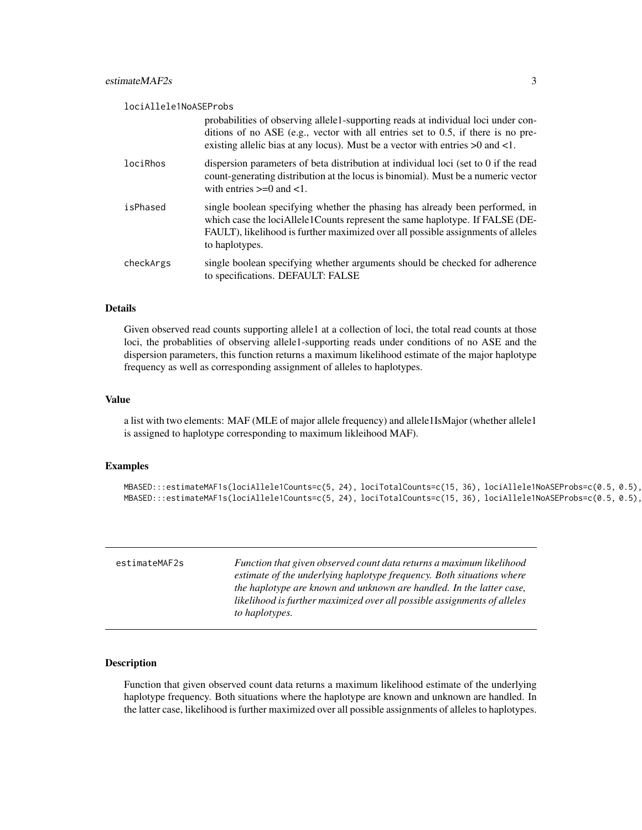#### <span id="page-2-0"></span>lociAllele1NoASEProbs

|           | probabilities of observing allele1-supporting reads at individual loci under con-<br>ditions of no ASE (e.g., vector with all entries set to $0.5$ , if there is no pre-<br>existing allelic bias at any locus). Must be a vector with entries $>0$ and <1.        |
|-----------|--------------------------------------------------------------------------------------------------------------------------------------------------------------------------------------------------------------------------------------------------------------------|
| lociRhos  | dispersion parameters of beta distribution at individual loci (set to 0 if the read<br>count-generating distribution at the locus is binomial). Must be a numeric vector<br>with entries $\geq 0$ and $\lt 1$ .                                                    |
| isPhased  | single boolean specifying whether the phasing has already been performed, in<br>which case the lociAllele1Counts represent the same haplotype. If FALSE (DE-<br>FAULT), likelihood is further maximized over all possible assignments of alleles<br>to haplotypes. |
| checkArgs | single boolean specifying whether arguments should be checked for adherence<br>to specifications. DEFAULT: FALSE                                                                                                                                                   |

#### Details

Given observed read counts supporting allele1 at a collection of loci, the total read counts at those loci, the probablities of observing allele1-supporting reads under conditions of no ASE and the dispersion parameters, this function returns a maximum likelihood estimate of the major haplotype frequency as well as corresponding assignment of alleles to haplotypes.

#### Value

a list with two elements: MAF (MLE of major allele frequency) and allele1IsMajor (whether allele1 is assigned to haplotype corresponding to maximum likleihood MAF).

#### Examples

```
MBASED:::estimateMAF1s(lociAllele1Counts=c(5, 24), lociTotalCounts=c(15, 36), lociAllele1NoASEProbs=c(0.5, 0.5),
MBASED:::estimateMAF1s(lociAllele1Counts=c(5, 24), lociTotalCounts=c(15, 36), lociAllele1NoASEProbs=c(0.5, 0.5),
```

| estimateMAF2s | Function that given observed count data returns a maximum likelihood<br>estimate of the underlying haplotype frequency. Both situations where<br>the haplotype are known and unknown are handled. In the latter case, |
|---------------|-----------------------------------------------------------------------------------------------------------------------------------------------------------------------------------------------------------------------|
|               | likelihood is further maximized over all possible assignments of alleles<br>to haplotypes.                                                                                                                            |

#### Description

Function that given observed count data returns a maximum likelihood estimate of the underlying haplotype frequency. Both situations where the haplotype are known and unknown are handled. In the latter case, likelihood is further maximized over all possible assignments of alleles to haplotypes.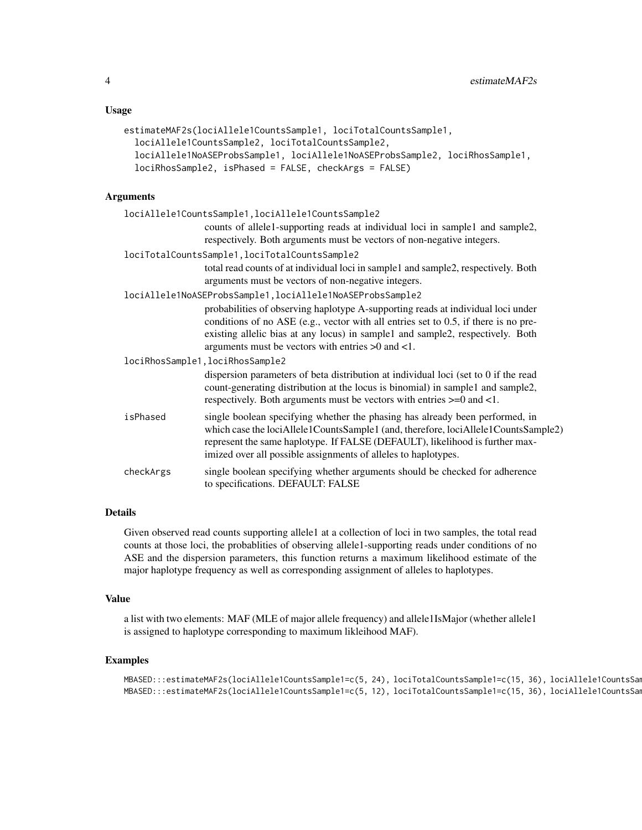#### Usage

```
estimateMAF2s(lociAllele1CountsSample1, lociTotalCountsSample1,
  lociAllele1CountsSample2, lociTotalCountsSample2,
  lociAllele1NoASEProbsSample1, lociAllele1NoASEProbsSample2, lociRhosSample1,
  lociRhosSample2, isPhased = FALSE, checkArgs = FALSE)
```
#### Arguments

|           | lociAllele1CountsSample1, lociAllele1CountsSample2                                                                                                                                                                                                                                                                     |
|-----------|------------------------------------------------------------------------------------------------------------------------------------------------------------------------------------------------------------------------------------------------------------------------------------------------------------------------|
|           | counts of allele1-supporting reads at individual loci in sample1 and sample2,                                                                                                                                                                                                                                          |
|           | respectively. Both arguments must be vectors of non-negative integers.                                                                                                                                                                                                                                                 |
|           | lociTotalCountsSample1, lociTotalCountsSample2                                                                                                                                                                                                                                                                         |
|           | total read counts of at individual loci in sample1 and sample2, respectively. Both                                                                                                                                                                                                                                     |
|           | arguments must be vectors of non-negative integers.                                                                                                                                                                                                                                                                    |
|           | lociAllele1NoASEProbsSample1, lociAllele1NoASEProbsSample2                                                                                                                                                                                                                                                             |
|           | probabilities of observing haplotype A-supporting reads at individual loci under<br>conditions of no ASE (e.g., vector with all entries set to $0.5$ , if there is no pre-<br>existing allelic bias at any locus) in sample1 and sample2, respectively. Both<br>arguments must be vectors with entries $>0$ and $<1$ . |
|           | lociRhosSample1, lociRhosSample2                                                                                                                                                                                                                                                                                       |
|           | dispersion parameters of beta distribution at individual loci (set to 0 if the read<br>count-generating distribution at the locus is binomial) in sample1 and sample2,<br>respectively. Both arguments must be vectors with entries >=0 and <1.                                                                        |
| isPhased  | single boolean specifying whether the phasing has already been performed, in<br>which case the lociAllele1CountsSample1 (and, therefore, lociAllele1CountsSample2)<br>represent the same haplotype. If FALSE (DEFAULT), likelihood is further max-<br>imized over all possible assignments of alleles to haplotypes.   |
| checkArgs | single boolean specifying whether arguments should be checked for adherence<br>to specifications. DEFAULT: FALSE                                                                                                                                                                                                       |

#### Details

Given observed read counts supporting allele1 at a collection of loci in two samples, the total read counts at those loci, the probablities of observing allele1-supporting reads under conditions of no ASE and the dispersion parameters, this function returns a maximum likelihood estimate of the major haplotype frequency as well as corresponding assignment of alleles to haplotypes.

#### Value

a list with two elements: MAF (MLE of major allele frequency) and allele1IsMajor (whether allele1 is assigned to haplotype corresponding to maximum likleihood MAF).

#### Examples

```
MBASED:::estimateMAF2s(lociAllele1CountsSample1=c(5, 24), lociTotalCountsSample1=c(15, 36), lociAllele1CountsSam
MBASED:::estimateMAF2s(lociAllele1CountsSample1=c(5, 12), lociTotalCountsSample1=c(15, 36), lociAllele1CountsSam
```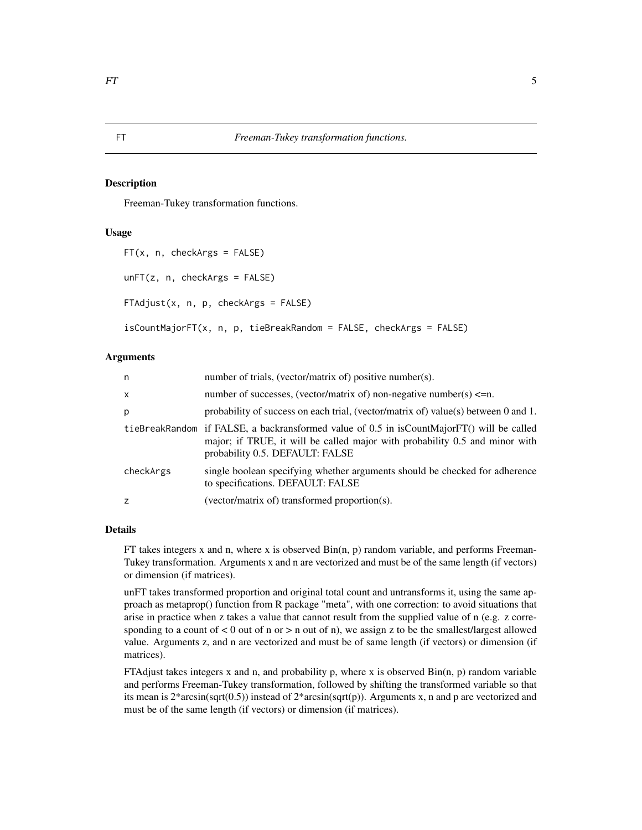#### Description

Freeman-Tukey transformation functions.

#### Usage

```
FT(x, n, checkArgs = FALSE)
unFT(z, n, checkArgs = FALSE)
FTAdjust(x, n, p, checkArgs = FALSE)
```
isCountMajorFT(x, n, p, tieBreakRandom = FALSE, checkArgs = FALSE)

#### Arguments

| n            | number of trials, (vector/matrix of) positive number(s).                                                                                                                                                    |
|--------------|-------------------------------------------------------------------------------------------------------------------------------------------------------------------------------------------------------------|
| $\mathsf{x}$ | number of successes, (vector/matrix of) non-negative number(s) $\leq n$ .                                                                                                                                   |
| p            | probability of success on each trial, (vector/matrix of) value(s) between 0 and 1.                                                                                                                          |
|              | tieBreakRandom if FALSE, a backransformed value of 0.5 in isCountMajorFT() will be called<br>major; if TRUE, it will be called major with probability 0.5 and minor with<br>probability 0.5. DEFAULT: FALSE |
| checkArgs    | single boolean specifying whether arguments should be checked for adherence<br>to specifications. DEFAULT: FALSE                                                                                            |
| z            | (vector/matrix of) transformed proportion(s).                                                                                                                                                               |
|              |                                                                                                                                                                                                             |

#### Details

FT takes integers x and n, where x is observed Bin(n, p) random variable, and performs Freeman-Tukey transformation. Arguments x and n are vectorized and must be of the same length (if vectors) or dimension (if matrices).

unFT takes transformed proportion and original total count and untransforms it, using the same approach as metaprop() function from R package "meta", with one correction: to avoid situations that arise in practice when z takes a value that cannot result from the supplied value of n (e.g. z corresponding to a count of  $< 0$  out of n or  $>$  n out of n), we assign z to be the smallest/largest allowed value. Arguments z, and n are vectorized and must be of same length (if vectors) or dimension (if matrices).

FTAdjust takes integers x and n, and probability p, where x is observed  $Bin(n, p)$  random variable and performs Freeman-Tukey transformation, followed by shifting the transformed variable so that its mean is  $2*arcsin(sqrt(0.5))$  instead of  $2*arcsin(sqrt(p))$ . Arguments x, n and p are vectorized and must be of the same length (if vectors) or dimension (if matrices).

<span id="page-4-0"></span>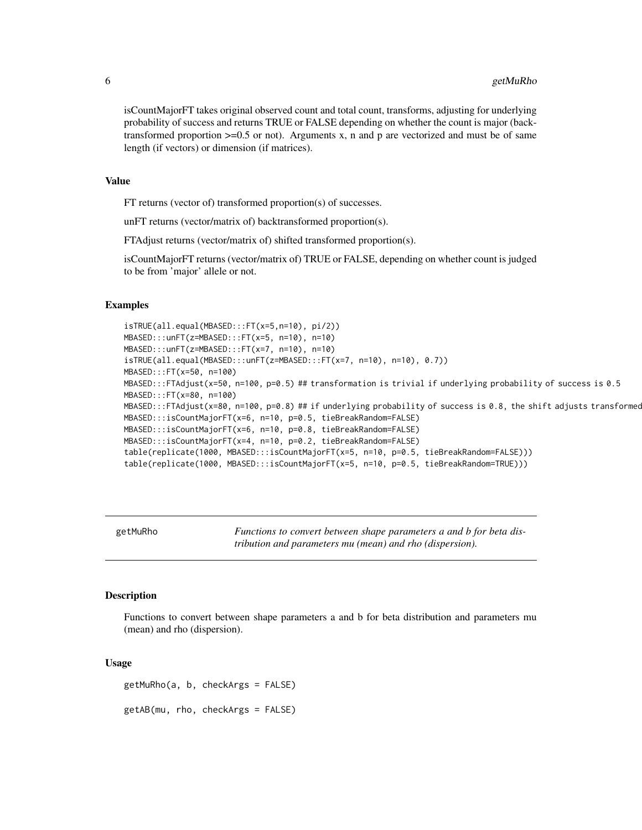isCountMajorFT takes original observed count and total count, transforms, adjusting for underlying probability of success and returns TRUE or FALSE depending on whether the count is major (backtransformed proportion  $>=0.5$  or not). Arguments x, n and p are vectorized and must be of same length (if vectors) or dimension (if matrices).

#### Value

FT returns (vector of) transformed proportion(s) of successes.

unFT returns (vector/matrix of) backtransformed proportion(s).

FTAdjust returns (vector/matrix of) shifted transformed proportion(s).

isCountMajorFT returns (vector/matrix of) TRUE or FALSE, depending on whether count is judged to be from 'major' allele or not.

#### Examples

```
isTRUE(all.equal(MBASED:::FT(x=5,n=10), pi/2))
MBASED:::unFT(z=MBASED:::FT(x=5, n=10), n=10)
MBASED:::unFT(z=MBASED:::FT(x=7, n=10), n=10)
isTRUE(all.equal(MBASED:::unFT(z=MBASED:::FT(x=7, n=10), n=10), 0.7))
MBASED:::FT(x=50, n=100)
MBASED:::FTAdjust(x=50, n=100, p=0.5) ## transformation is trivial if underlying probability of success is 0.5
MBASED:::FT(x=80, n=100)
MBASED:::FAdjust(x=80, n=100, p=0.8)## if underlying probability of success is 0.8, the shift adjusts transformed
MBASED:::isCountMajorFT(x=6, n=10, p=0.5, tieBreakRandom=FALSE)
MBASED:::isCountMajorFT(x=6, n=10, p=0.8, tieBreakRandom=FALSE)
MBASED:::isCountMajorFT(x=4, n=10, p=0.2, tieBreakRandom=FALSE)
table(replicate(1000, MBASED:::isCountMajorFT(x=5, n=10, p=0.5, tieBreakRandom=FALSE)))
table(replicate(1000, MBASED:::isCountMajorFT(x=5, n=10, p=0.5, tieBreakRandom=TRUE)))
```
<span id="page-5-2"></span>getMuRho *Functions to convert between shape parameters a and b for beta distribution and parameters mu (mean) and rho (dispersion).*

#### <span id="page-5-1"></span>Description

Functions to convert between shape parameters a and b for beta distribution and parameters mu (mean) and rho (dispersion).

#### Usage

getMuRho(a, b, checkArgs = FALSE) getAB(mu, rho, checkArgs = FALSE)

<span id="page-5-0"></span>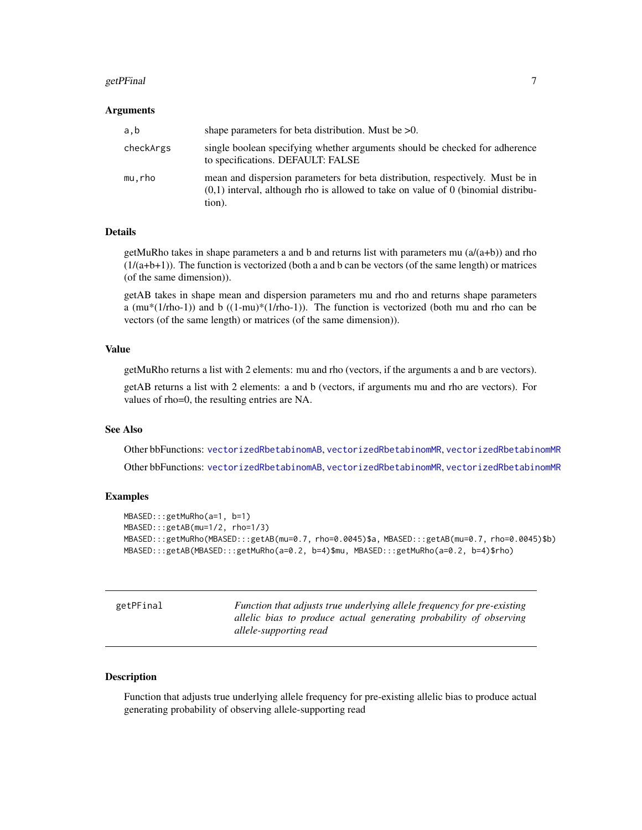#### <span id="page-6-0"></span>getPFinal 2008 and 2008 and 2008 and 2008 and 2008 and 2008 and 2008 and 2008 and 2008 and 2008 and 2008 and 20

#### Arguments

| a,b       | shape parameters for beta distribution. Must be $>0$ .                                                                                                                          |
|-----------|---------------------------------------------------------------------------------------------------------------------------------------------------------------------------------|
| checkArgs | single boolean specifying whether arguments should be checked for adherence<br>to specifications. DEFAULT: FALSE                                                                |
| mu.rho    | mean and dispersion parameters for beta distribution, respectively. Must be in<br>$(0,1)$ interval, although rho is allowed to take on value of 0 (binomial distribu-<br>tion). |

#### Details

getMuRho takes in shape parameters a and b and returns list with parameters mu  $(a/(a+b))$  and rho  $(1/(a+b+1))$ . The function is vectorized (both a and b can be vectors (of the same length) or matrices (of the same dimension)).

getAB takes in shape mean and dispersion parameters mu and rho and returns shape parameters a  $(\text{mu}^*(1/\text{rho-1}))$  and b  $((1-\text{mu})^*(1/\text{rho-1}))$ . The function is vectorized (both mu and rho can be vectors (of the same length) or matrices (of the same dimension)).

#### Value

getMuRho returns a list with 2 elements: mu and rho (vectors, if the arguments a and b are vectors).

getAB returns a list with 2 elements: a and b (vectors, if arguments mu and rho are vectors). For values of rho=0, the resulting entries are NA.

#### See Also

Other bbFunctions: [vectorizedRbetabinomAB](#page-35-1), [vectorizedRbetabinomMR](#page-35-2), [vectorizedRbetabinomMR](#page-35-2) Other bbFunctions: [vectorizedRbetabinomAB](#page-35-1), [vectorizedRbetabinomMR](#page-35-2), [vectorizedRbetabinomMR](#page-35-2)

#### Examples

```
MBASED:::getMuRho(a=1, b=1)
MBASED:::getAB(mu=1/2, rho=1/3)
MBASED:::getMuRho(MBASED:::getAB(mu=0.7, rho=0.0045)$a, MBASED:::getAB(mu=0.7, rho=0.0045)$b)
MBASED:::getAB(MBASED:::getMuRho(a=0.2, b=4)$mu, MBASED:::getMuRho(a=0.2, b=4)$rho)
```

| getPFinal | Function that adjusts true underlying allele frequency for pre-existing<br>allelic bias to produce actual generating probability of observing<br>allele-supporting read |
|-----------|-------------------------------------------------------------------------------------------------------------------------------------------------------------------------|
|           |                                                                                                                                                                         |

#### Description

Function that adjusts true underlying allele frequency for pre-existing allelic bias to produce actual generating probability of observing allele-supporting read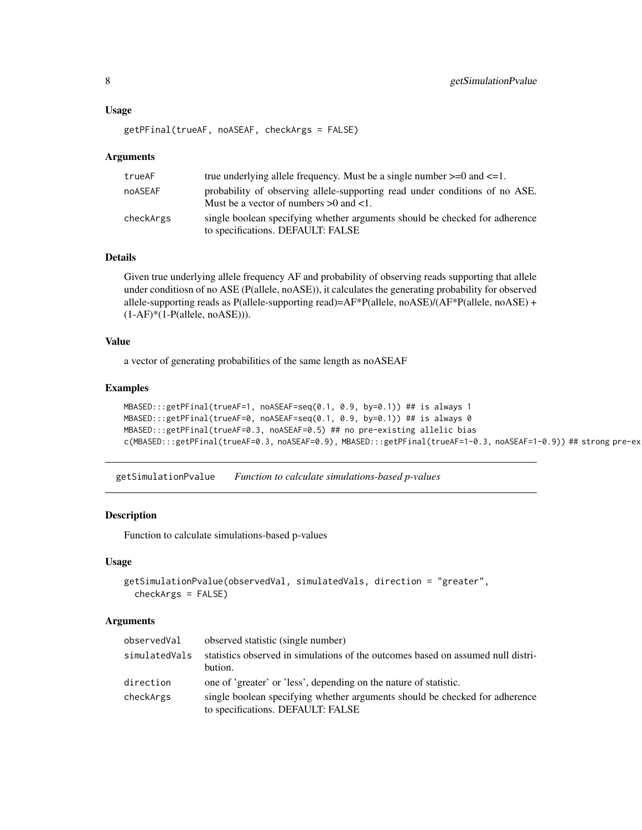#### <span id="page-7-0"></span>Usage

```
getPFinal(trueAF, noASEAF, checkArgs = FALSE)
```
#### Arguments

| trueAF    | true underlying allele frequency. Must be a single number $>=0$ and $<=1$ .                                                |
|-----------|----------------------------------------------------------------------------------------------------------------------------|
| noASEAF   | probability of observing allele-supporting read under conditions of no ASE.<br>Must be a vector of numbers $>0$ and $<1$ . |
| checkArgs | single boolean specifying whether arguments should be checked for adherence<br>to specifications. DEFAULT: FALSE           |

#### Details

Given true underlying allele frequency AF and probability of observing reads supporting that allele under conditiosn of no ASE (P(allele, noASE)), it calculates the generating probability for observed allele-supporting reads as P(allele-supporting read)=AF\*P(allele, noASE)/(AF\*P(allele, noASE) +  $(1-AF)*(1-P(allele, noASE))$ ).

#### Value

a vector of generating probabilities of the same length as noASEAF

### Examples

```
MBASED:::getPFinal(trueAF=1, noASEAF=seq(0.1, 0.9, by=0.1)) ## is always 1
MBASED:::getPFinal(trueAF=0, noASEAF=seq(0.1, 0.9, by=0.1)) ## is always 0
MBASED:::getPFinal(trueAF=0.3, noASEAF=0.5) ## no pre-existing allelic bias
c(MBASED:::getPFinal(trueAF=0.3, noASEAF=0.9), MBASED:::getPFinal(trueAF=1-0.3, noASEAF=1-0.9)) ## strong pre-ex
```
getSimulationPvalue *Function to calculate simulations-based p-values*

#### Description

Function to calculate simulations-based p-values

#### Usage

```
getSimulationPvalue(observedVal, simulatedVals, direction = "greater",
 checkArgs = FALSE)
```
#### Arguments

| observedVal   | observed statistic (single number)                                               |
|---------------|----------------------------------------------------------------------------------|
| simulatedVals | statistics observed in simulations of the outcomes based on assumed null distri- |
|               | bution.                                                                          |
| direction     | one of 'greater' or 'less', depending on the nature of statistic.                |
| checkArgs     | single boolean specifying whether arguments should be checked for adherence      |
|               | to specifications. DEFAULT: FALSE                                                |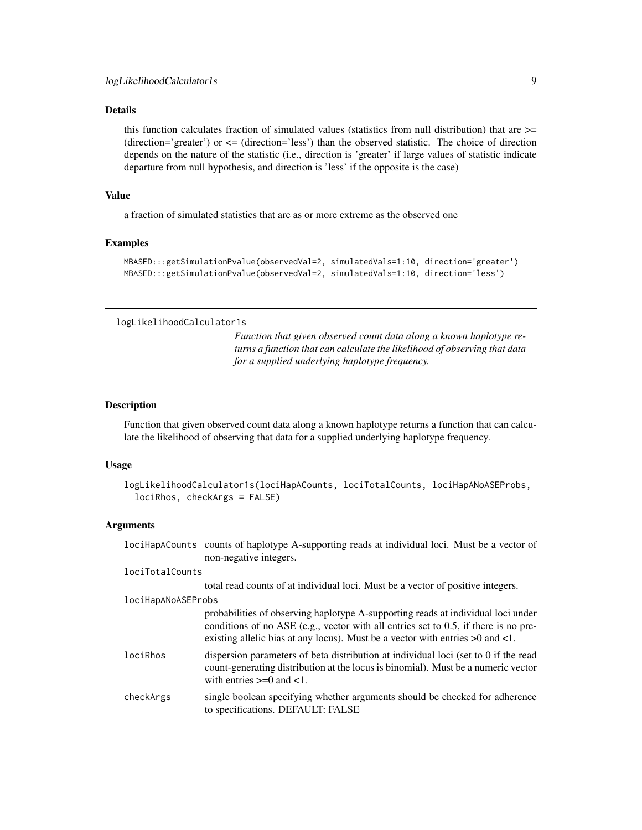<span id="page-8-0"></span>this function calculates fraction of simulated values (statistics from null distribution) that are  $\geq$ (direction='greater') or  $\leq$  (direction='less') than the observed statistic. The choice of direction depends on the nature of the statistic (i.e., direction is 'greater' if large values of statistic indicate departure from null hypothesis, and direction is 'less' if the opposite is the case)

#### Value

a fraction of simulated statistics that are as or more extreme as the observed one

#### Examples

```
MBASED:::getSimulationPvalue(observedVal=2, simulatedVals=1:10, direction='greater')
MBASED:::getSimulationPvalue(observedVal=2, simulatedVals=1:10, direction='less')
```

```
logLikelihoodCalculator1s
```
*Function that given observed count data along a known haplotype returns a function that can calculate the likelihood of observing that data for a supplied underlying haplotype frequency.*

#### Description

Function that given observed count data along a known haplotype returns a function that can calculate the likelihood of observing that data for a supplied underlying haplotype frequency.

#### Usage

```
logLikelihoodCalculator1s(lociHapACounts, lociTotalCounts, lociHapANoASEProbs,
  lociRhos, checkArgs = FALSE)
```
#### Arguments

|                    | lociHapACounts counts of haplotype A-supporting reads at individual loci. Must be a vector of<br>non-negative integers.                                                                                                                                          |
|--------------------|------------------------------------------------------------------------------------------------------------------------------------------------------------------------------------------------------------------------------------------------------------------|
| lociTotalCounts    |                                                                                                                                                                                                                                                                  |
|                    | total read counts of at individual loci. Must be a vector of positive integers.                                                                                                                                                                                  |
| lociHapANoASEProbs |                                                                                                                                                                                                                                                                  |
|                    | probabilities of observing haplotype A-supporting reads at individual loci under<br>conditions of no ASE (e.g., vector with all entries set to $0.5$ , if there is no pre-<br>existing allelic bias at any locus). Must be a vector with entries $>0$ and $<1$ . |
| lociRhos           | dispersion parameters of beta distribution at individual loci (set to 0 if the read<br>count-generating distribution at the locus is binomial). Must be a numeric vector<br>with entries $\geq 0$ and $\lt 1$ .                                                  |
| checkArgs          | single boolean specifying whether arguments should be checked for adherence<br>to specifications. DEFAULT: FALSE                                                                                                                                                 |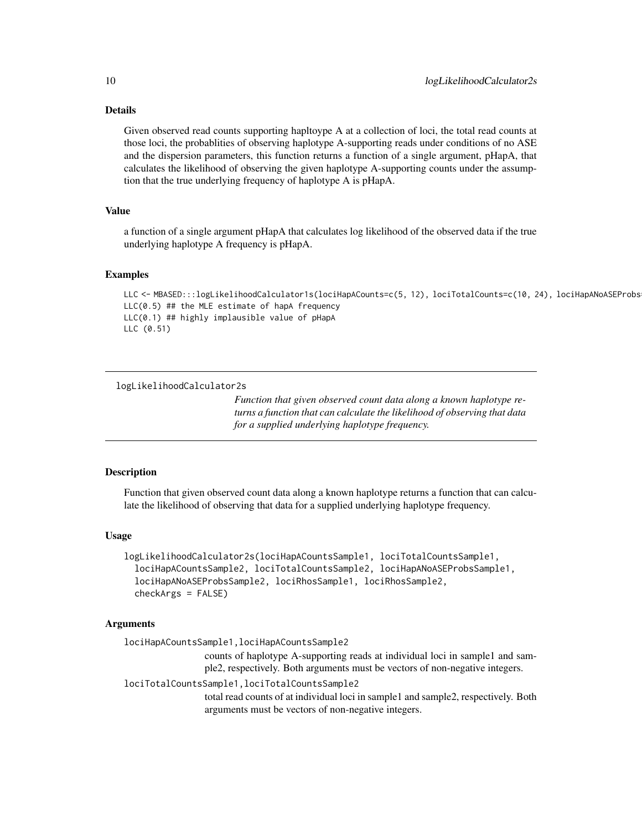<span id="page-9-0"></span>Given observed read counts supporting hapltoype A at a collection of loci, the total read counts at those loci, the probablities of observing haplotype A-supporting reads under conditions of no ASE and the dispersion parameters, this function returns a function of a single argument, pHapA, that calculates the likelihood of observing the given haplotype A-supporting counts under the assumption that the true underlying frequency of haplotype A is pHapA.

#### Value

a function of a single argument pHapA that calculates log likelihood of the observed data if the true underlying haplotype A frequency is pHapA.

#### Examples

LLC <- MBASED:::logLikelihoodCalculator1s(lociHapACounts=c(5, 12), lociTotalCounts=c(10, 24), lociHapANoASEProbs LLC(0.5) ## the MLE estimate of hapA frequency LLC(0.1) ## highly implausible value of pHapA LLC (0.51)

logLikelihoodCalculator2s

*Function that given observed count data along a known haplotype returns a function that can calculate the likelihood of observing that data for a supplied underlying haplotype frequency.*

#### **Description**

Function that given observed count data along a known haplotype returns a function that can calculate the likelihood of observing that data for a supplied underlying haplotype frequency.

#### Usage

```
logLikelihoodCalculator2s(lociHapACountsSample1, lociTotalCountsSample1,
  lociHapACountsSample2, lociTotalCountsSample2, lociHapANoASEProbsSample1,
  lociHapANoASEProbsSample2, lociRhosSample1, lociRhosSample2,
  checkArgs = FALSE)
```
#### Arguments

lociHapACountsSample1,lociHapACountsSample2

counts of haplotype A-supporting reads at individual loci in sample1 and sample2, respectively. Both arguments must be vectors of non-negative integers.

#### lociTotalCountsSample1,lociTotalCountsSample2

total read counts of at individual loci in sample1 and sample2, respectively. Both arguments must be vectors of non-negative integers.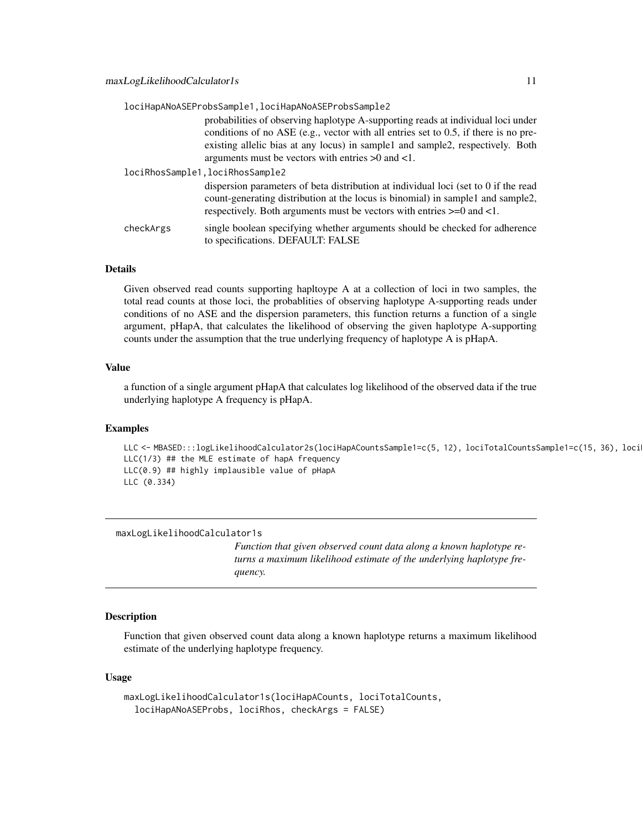<span id="page-10-0"></span>

|           | lociHapANoASEProbsSample1, lociHapANoASEProbsSample2                                                                                                                                                                                                                                                                |
|-----------|---------------------------------------------------------------------------------------------------------------------------------------------------------------------------------------------------------------------------------------------------------------------------------------------------------------------|
|           | probabilities of observing haplotype A-supporting reads at individual loci under<br>conditions of no ASE (e.g., vector with all entries set to 0.5, if there is no pre-<br>existing allelic bias at any locus) in sample1 and sample2, respectively. Both<br>arguments must be vectors with entries $>0$ and $<1$ . |
|           | lociRhosSample1, lociRhosSample2                                                                                                                                                                                                                                                                                    |
|           | dispersion parameters of beta distribution at individual loci (set to 0 if the read<br>count-generating distribution at the locus is binomial) in sample1 and sample2,<br>respectively. Both arguments must be vectors with entries $>=0$ and $<1$ .                                                                |
| checkArgs | single boolean specifying whether arguments should be checked for adherence<br>to specifications. DEFAULT: FALSE                                                                                                                                                                                                    |

Given observed read counts supporting hapltoype A at a collection of loci in two samples, the total read counts at those loci, the probablities of observing haplotype A-supporting reads under conditions of no ASE and the dispersion parameters, this function returns a function of a single argument, pHapA, that calculates the likelihood of observing the given haplotype A-supporting counts under the assumption that the true underlying frequency of haplotype A is pHapA.

#### Value

a function of a single argument pHapA that calculates log likelihood of the observed data if the true underlying haplotype A frequency is pHapA.

#### Examples

LLC <- MBASED:::logLikelihoodCalculator2s(lociHapACountsSample1=c(5, 12), lociTotalCountsSample1=c(15, 36), loci LLC(1/3) ## the MLE estimate of hapA frequency LLC(0.9) ## highly implausible value of pHapA LLC (0.334)

maxLogLikelihoodCalculator1s

*Function that given observed count data along a known haplotype returns a maximum likelihood estimate of the underlying haplotype frequency.*

#### Description

Function that given observed count data along a known haplotype returns a maximum likelihood estimate of the underlying haplotype frequency.

#### Usage

```
maxLogLikelihoodCalculator1s(lociHapACounts, lociTotalCounts,
  lociHapANoASEProbs, lociRhos, checkArgs = FALSE)
```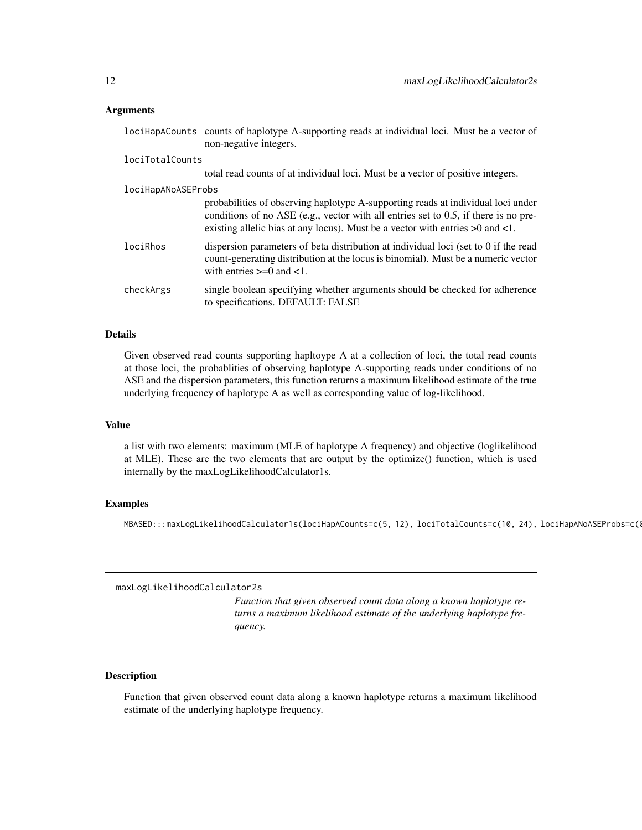#### <span id="page-11-0"></span>Arguments

|                    | lociHapACounts counts of haplotype A-supporting reads at individual loci. Must be a vector of<br>non-negative integers.                                                                                                                                          |
|--------------------|------------------------------------------------------------------------------------------------------------------------------------------------------------------------------------------------------------------------------------------------------------------|
| lociTotalCounts    |                                                                                                                                                                                                                                                                  |
|                    | total read counts of at individual loci. Must be a vector of positive integers.                                                                                                                                                                                  |
| lociHapANoASEProbs |                                                                                                                                                                                                                                                                  |
|                    | probabilities of observing haplotype A-supporting reads at individual loci under<br>conditions of no ASE (e.g., vector with all entries set to $0.5$ , if there is no pre-<br>existing allelic bias at any locus). Must be a vector with entries $>0$ and $<1$ . |
| lociRhos           | dispersion parameters of beta distribution at individual loci (set to 0 if the read<br>count-generating distribution at the locus is binomial). Must be a numeric vector<br>with entries $\geq 0$ and $\lt 1$ .                                                  |
| checkArgs          | single boolean specifying whether arguments should be checked for adherence<br>to specifications. DEFAULT: FALSE                                                                                                                                                 |

#### Details

Given observed read counts supporting hapltoype A at a collection of loci, the total read counts at those loci, the probablities of observing haplotype A-supporting reads under conditions of no ASE and the dispersion parameters, this function returns a maximum likelihood estimate of the true underlying frequency of haplotype A as well as corresponding value of log-likelihood.

#### Value

a list with two elements: maximum (MLE of haplotype A frequency) and objective (loglikelihood at MLE). These are the two elements that are output by the optimize() function, which is used internally by the maxLogLikelihoodCalculator1s.

#### Examples

MBASED:::maxLogLikelihoodCalculator1s(lociHapACounts=c(5, 12), lociTotalCounts=c(10, 24), lociHapANoASEProbs=c(0

maxLogLikelihoodCalculator2s

*Function that given observed count data along a known haplotype returns a maximum likelihood estimate of the underlying haplotype frequency.*

#### Description

Function that given observed count data along a known haplotype returns a maximum likelihood estimate of the underlying haplotype frequency.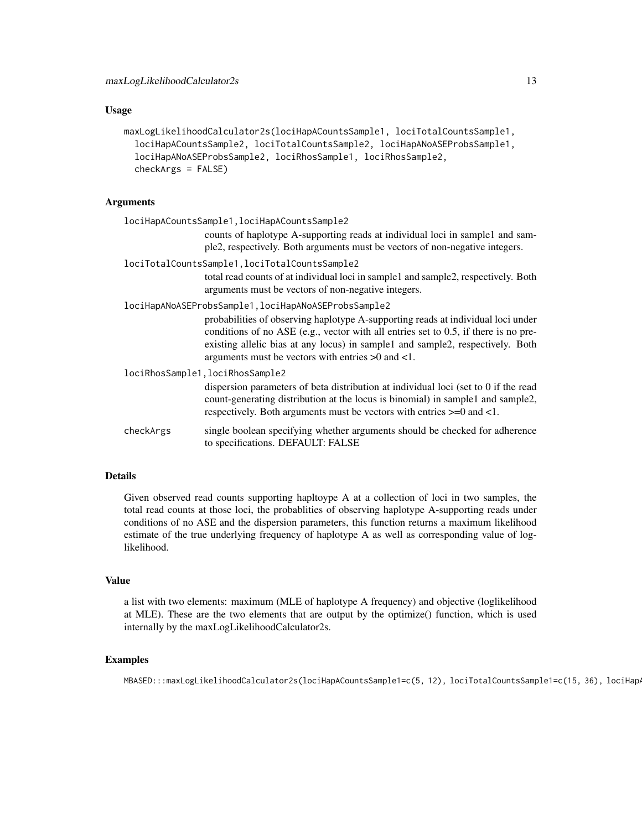#### Usage

```
maxLogLikelihoodCalculator2s(lociHapACountsSample1, lociTotalCountsSample1,
  lociHapACountsSample2, lociTotalCountsSample2, lociHapANoASEProbsSample1,
 lociHapANoASEProbsSample2, lociRhosSample1, lociRhosSample2,
  checkArgs = FALSE)
```
#### Arguments

|           | lociHapACountsSample1, lociHapACountsSample2                                                                                                                                                                                                                                                                                                                                   |
|-----------|--------------------------------------------------------------------------------------------------------------------------------------------------------------------------------------------------------------------------------------------------------------------------------------------------------------------------------------------------------------------------------|
|           | counts of haplotype A-supporting reads at individual loci in sample1 and sam-<br>ple2, respectively. Both arguments must be vectors of non-negative integers.                                                                                                                                                                                                                  |
|           | lociTotalCountsSample1, lociTotalCountsSample2<br>total read counts of at individual loci in sample1 and sample2, respectively. Both<br>arguments must be vectors of non-negative integers.                                                                                                                                                                                    |
|           | lociHapANoASEProbsSample1, lociHapANoASEProbsSample2<br>probabilities of observing haplotype A-supporting reads at individual loci under<br>conditions of no ASE (e.g., vector with all entries set to $0.5$ , if there is no pre-<br>existing allelic bias at any locus) in sample1 and sample2, respectively. Both<br>arguments must be vectors with entries $>0$ and $<1$ . |
|           | lociRhosSample1, lociRhosSample2<br>dispersion parameters of beta distribution at individual loci (set to 0 if the read<br>count-generating distribution at the locus is binomial) in sample1 and sample2,<br>respectively. Both arguments must be vectors with entries $\geq 0$ and $\lt 1$ .                                                                                 |
| checkArgs | single boolean specifying whether arguments should be checked for adherence<br>to specifications. DEFAULT: FALSE                                                                                                                                                                                                                                                               |

#### Details

Given observed read counts supporting hapltoype A at a collection of loci in two samples, the total read counts at those loci, the probablities of observing haplotype A-supporting reads under conditions of no ASE and the dispersion parameters, this function returns a maximum likelihood estimate of the true underlying frequency of haplotype A as well as corresponding value of loglikelihood.

#### Value

a list with two elements: maximum (MLE of haplotype A frequency) and objective (loglikelihood at MLE). These are the two elements that are output by the optimize() function, which is used internally by the maxLogLikelihoodCalculator2s.

#### Examples

MBASED:::maxLogLikelihoodCalculator2s(lociHapACountsSample1=c(5, 12), lociTotalCountsSample1=c(15, 36), lociHap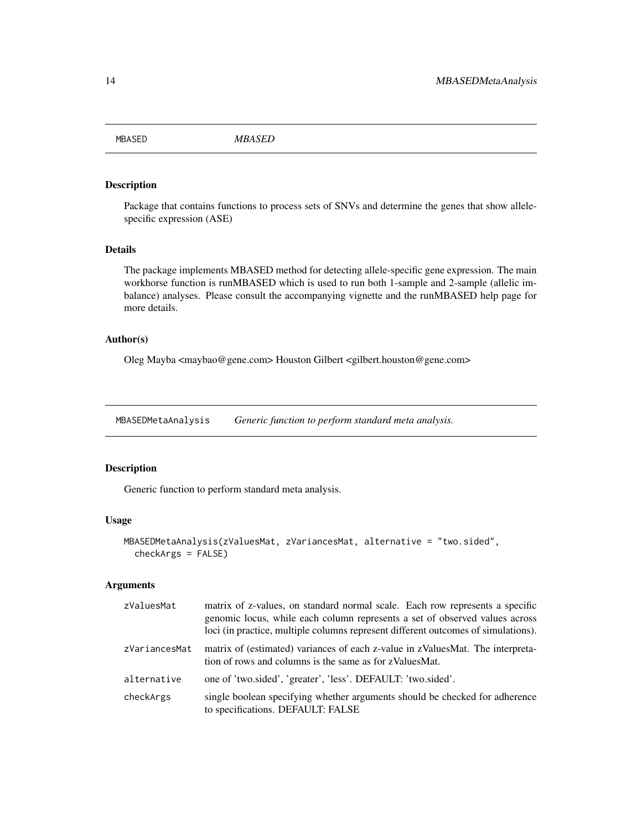<span id="page-13-0"></span>MBASED *MBASED*

#### Description

Package that contains functions to process sets of SNVs and determine the genes that show allelespecific expression (ASE)

#### Details

The package implements MBASED method for detecting allele-specific gene expression. The main workhorse function is runMBASED which is used to run both 1-sample and 2-sample (allelic imbalance) analyses. Please consult the accompanying vignette and the runMBASED help page for more details.

#### Author(s)

Oleg Mayba <maybao@gene.com> Houston Gilbert <gilbert.houston@gene.com>

MBASEDMetaAnalysis *Generic function to perform standard meta analysis.*

#### Description

Generic function to perform standard meta analysis.

#### Usage

```
MBASEDMetaAnalysis(zValuesMat, zVariancesMat, alternative = "two.sided",
 checkArgs = FALSE)
```
#### Arguments

| zValuesMat    | matrix of z-values, on standard normal scale. Each row represents a specific<br>genomic locus, while each column represents a set of observed values across<br>loci (in practice, multiple columns represent different outcomes of simulations). |
|---------------|--------------------------------------------------------------------------------------------------------------------------------------------------------------------------------------------------------------------------------------------------|
| zVariancesMat | matrix of (estimated) variances of each z-value in zValuesMat. The interpreta-<br>tion of rows and columns is the same as for zValuesMat.                                                                                                        |
| alternative   | one of 'two.sided', 'greater', 'less'. DEFAULT: 'two.sided'.                                                                                                                                                                                     |
| checkArgs     | single boolean specifying whether arguments should be checked for adherence<br>to specifications. DEFAULT: FALSE                                                                                                                                 |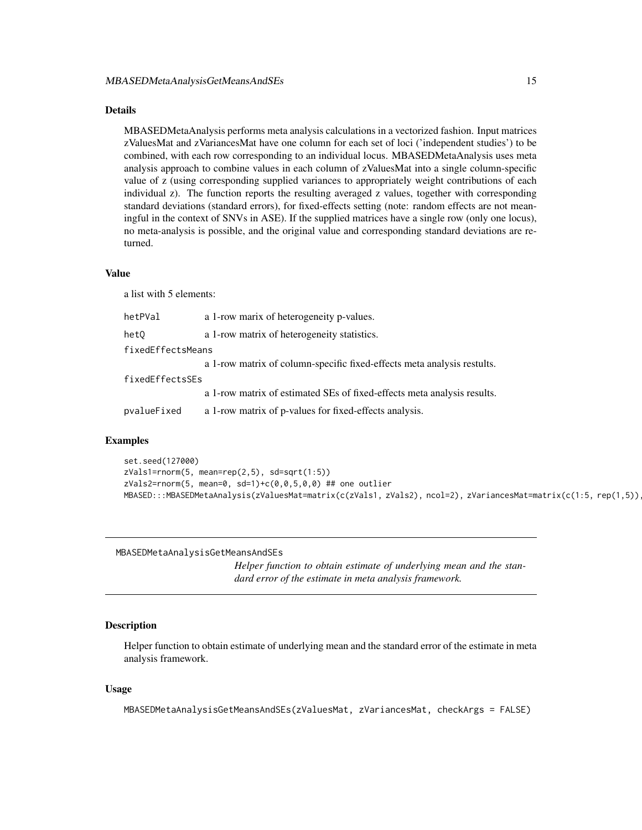<span id="page-14-0"></span>MBASEDMetaAnalysis performs meta analysis calculations in a vectorized fashion. Input matrices zValuesMat and zVariancesMat have one column for each set of loci ('independent studies') to be combined, with each row corresponding to an individual locus. MBASEDMetaAnalysis uses meta analysis approach to combine values in each column of zValuesMat into a single column-specific value of z (using corresponding supplied variances to appropriately weight contributions of each individual z). The function reports the resulting averaged z values, together with corresponding standard deviations (standard errors), for fixed-effects setting (note: random effects are not meaningful in the context of SNVs in ASE). If the supplied matrices have a single row (only one locus), no meta-analysis is possible, and the original value and corresponding standard deviations are returned.

#### Value

a list with 5 elements:

| hetPVal           | a 1-row marix of heterogeneity p-values.                                |  |
|-------------------|-------------------------------------------------------------------------|--|
| het0              | a 1-row matrix of heterogeneity statistics.                             |  |
| fixedEffectsMeans |                                                                         |  |
|                   | a 1-row matrix of column-specific fixed-effects meta analysis restults. |  |
| fixedEffectsSEs   |                                                                         |  |
|                   | a 1-row matrix of estimated SEs of fixed-effects meta analysis results. |  |
| pvalueFixed       | a 1-row matrix of p-values for fixed-effects analysis.                  |  |

#### Examples

```
set.seed(127000)
zVals1=rnorm(5, mean=rep(2,5), sd=sqrt(1:5))
zVals2=rnorm(5, mean=0, sd=1)+c(0,0,5,0,0)## one outlier
MBASED:::MBASEDMetaAnalysis(zValuesMat=matrix(c(zVals1, zVals2), ncol=2), zVariancesMat=matrix(c(1:5, rep(1,5))
```
MBASEDMetaAnalysisGetMeansAndSEs

*Helper function to obtain estimate of underlying mean and the standard error of the estimate in meta analysis framework.*

#### Description

Helper function to obtain estimate of underlying mean and the standard error of the estimate in meta analysis framework.

#### Usage

```
MBASEDMetaAnalysisGetMeansAndSEs(zValuesMat, zVariancesMat, checkArgs = FALSE)
```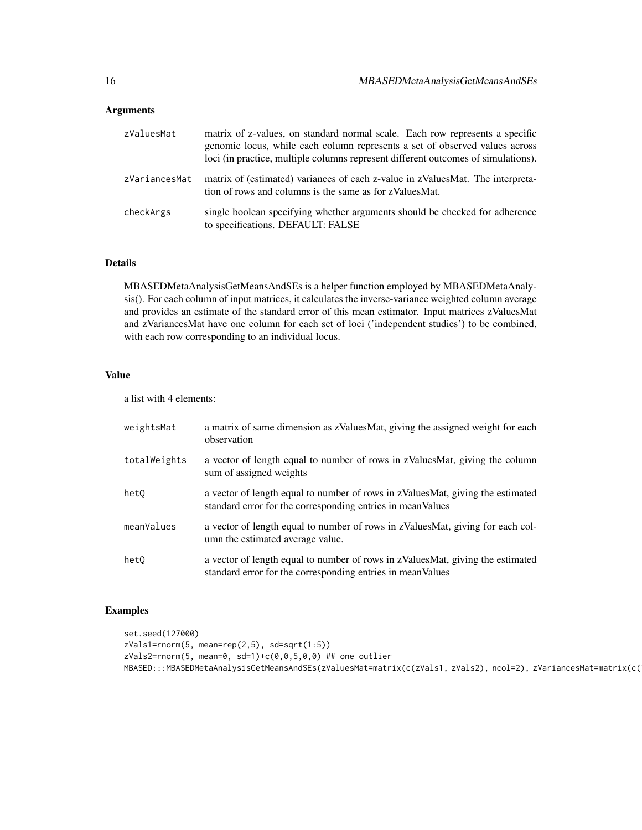#### Arguments

| zValuesMat    | matrix of z-values, on standard normal scale. Each row represents a specific<br>genomic locus, while each column represents a set of observed values across<br>loci (in practice, multiple columns represent different outcomes of simulations). |
|---------------|--------------------------------------------------------------------------------------------------------------------------------------------------------------------------------------------------------------------------------------------------|
| zVariancesMat | matrix of (estimated) variances of each z-value in zValuesMat. The interpreta-<br>tion of rows and columns is the same as for zValuesMat.                                                                                                        |
| checkArgs     | single boolean specifying whether arguments should be checked for adherence<br>to specifications. DEFAULT: FALSE                                                                                                                                 |

#### Details

MBASEDMetaAnalysisGetMeansAndSEs is a helper function employed by MBASEDMetaAnalysis(). For each column of input matrices, it calculates the inverse-variance weighted column average and provides an estimate of the standard error of this mean estimator. Input matrices zValuesMat and zVariancesMat have one column for each set of loci ('independent studies') to be combined, with each row corresponding to an individual locus.

#### Value

a list with 4 elements:

| weightsMat   | a matrix of same dimension as zValuesMat, giving the assigned weight for each<br>observation                                                  |
|--------------|-----------------------------------------------------------------------------------------------------------------------------------------------|
| totalWeights | a vector of length equal to number of rows in zValuesMat, giving the column<br>sum of assigned weights                                        |
| het0         | a vector of length equal to number of rows in zValuesMat, giving the estimated<br>standard error for the corresponding entries in mean Values |
| meanValues   | a vector of length equal to number of rows in zValuesMat, giving for each col-<br>umn the estimated average value.                            |
| het0         | a vector of length equal to number of rows in zValuesMat, giving the estimated<br>standard error for the corresponding entries in mean Values |

#### Examples

```
set.seed(127000)
zVals1=rnorm(5, mean=rep(2,5), sd=sqrt(1:5))
zVals2=rnorm(5, mean=0, sd=1)+c(0,0,5,0,0) ## one outlier
MBASED:::MBASEDMetaAnalysisGetMeansAndSEs(zValuesMat=matrix(c(zVals1, zVals2), ncol=2), zVariancesMat=matrix(c(
```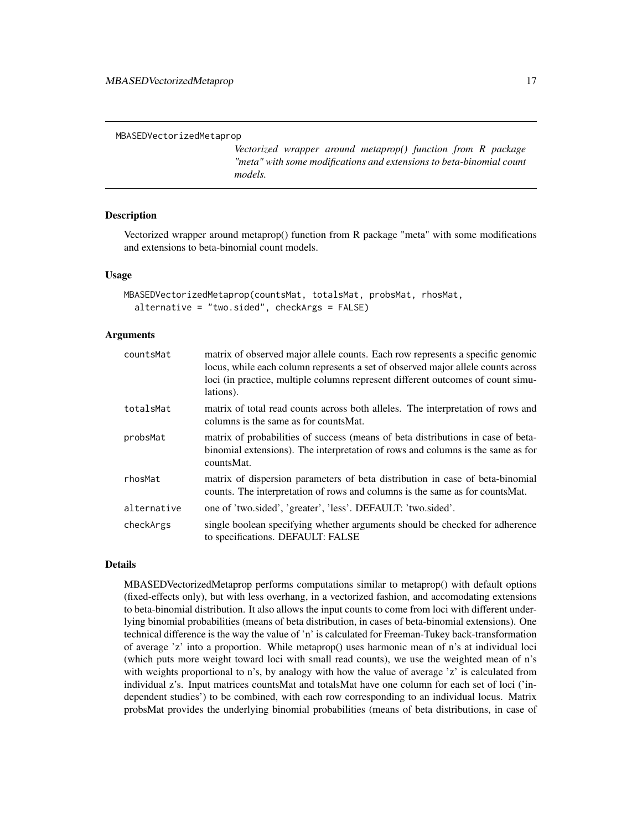*Vectorized wrapper around metaprop() function from R package "meta" with some modifications and extensions to beta-binomial count models.*

#### <span id="page-16-0"></span>**Description**

Vectorized wrapper around metaprop() function from R package "meta" with some modifications and extensions to beta-binomial count models.

#### Usage

```
MBASEDVectorizedMetaprop(countsMat, totalsMat, probsMat, rhosMat,
  alternative = "two.sided", checkArgs = FALSE)
```
#### Arguments

| countsMat   | matrix of observed major allele counts. Each row represents a specific genomic<br>locus, while each column represents a set of observed major allele counts across<br>loci (in practice, multiple columns represent different outcomes of count simu-<br>lations). |
|-------------|--------------------------------------------------------------------------------------------------------------------------------------------------------------------------------------------------------------------------------------------------------------------|
| totalsMat   | matrix of total read counts across both alleles. The interpretation of rows and<br>columns is the same as for counts Mat.                                                                                                                                          |
| probsMat    | matrix of probabilities of success (means of beta distributions in case of beta-<br>binomial extensions). The interpretation of rows and columns is the same as for<br>countsMat.                                                                                  |
| rhosMat     | matrix of dispersion parameters of beta distribution in case of beta-binomial<br>counts. The interpretation of rows and columns is the same as for counts Mat.                                                                                                     |
| alternative | one of 'two.sided', 'greater', 'less'. DEFAULT: 'two.sided'.                                                                                                                                                                                                       |
| checkArgs   | single boolean specifying whether arguments should be checked for adherence<br>to specifications. DEFAULT: FALSE                                                                                                                                                   |

#### Details

MBASEDVectorizedMetaprop performs computations similar to metaprop() with default options (fixed-effects only), but with less overhang, in a vectorized fashion, and accomodating extensions to beta-binomial distribution. It also allows the input counts to come from loci with different underlying binomial probabilities (means of beta distribution, in cases of beta-binomial extensions). One technical difference is the way the value of 'n' is calculated for Freeman-Tukey back-transformation of average 'z' into a proportion. While metaprop() uses harmonic mean of n's at individual loci (which puts more weight toward loci with small read counts), we use the weighted mean of n's with weights proportional to n's, by analogy with how the value of average 'z' is calculated from individual z's. Input matrices countsMat and totalsMat have one column for each set of loci ('independent studies') to be combined, with each row corresponding to an individual locus. Matrix probsMat provides the underlying binomial probabilities (means of beta distributions, in case of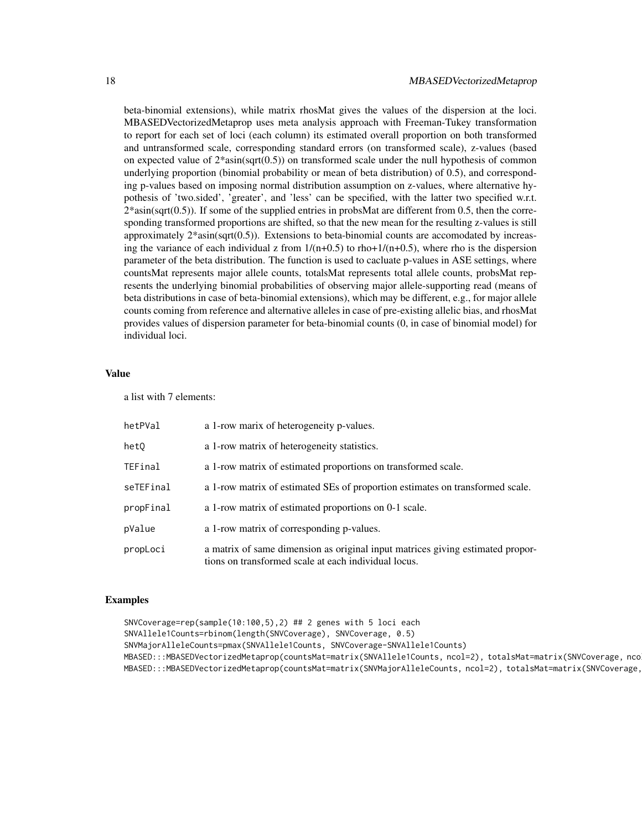beta-binomial extensions), while matrix rhosMat gives the values of the dispersion at the loci. MBASEDVectorizedMetaprop uses meta analysis approach with Freeman-Tukey transformation to report for each set of loci (each column) its estimated overall proportion on both transformed and untransformed scale, corresponding standard errors (on transformed scale), z-values (based on expected value of  $2*asin(sqrt(0.5))$  on transformed scale under the null hypothesis of common underlying proportion (binomial probability or mean of beta distribution) of 0.5), and corresponding p-values based on imposing normal distribution assumption on z-values, where alternative hypothesis of 'two.sided', 'greater', and 'less' can be specified, with the latter two specified w.r.t.  $2*asin(sqrt(0.5))$ . If some of the supplied entries in probsMat are different from 0.5, then the corresponding transformed proportions are shifted, so that the new mean for the resulting z-values is still approximately  $2*asin(sqrt(0.5))$ . Extensions to beta-binomial counts are accomodated by increasing the variance of each individual z from  $1/(n+0.5)$  to rho+ $1/(n+0.5)$ , where rho is the dispersion parameter of the beta distribution. The function is used to cacluate p-values in ASE settings, where countsMat represents major allele counts, totalsMat represents total allele counts, probsMat represents the underlying binomial probabilities of observing major allele-supporting read (means of beta distributions in case of beta-binomial extensions), which may be different, e.g., for major allele counts coming from reference and alternative alleles in case of pre-existing allelic bias, and rhosMat provides values of dispersion parameter for beta-binomial counts (0, in case of binomial model) for individual loci.

#### Value

a list with 7 elements:

| hetPVal   | a 1-row marix of heterogeneity p-values.                                                                                               |
|-----------|----------------------------------------------------------------------------------------------------------------------------------------|
| het0      | a 1-row matrix of heterogeneity statistics.                                                                                            |
| TEFinal   | a 1-row matrix of estimated proportions on transformed scale.                                                                          |
| seTEFinal | a 1-row matrix of estimated SEs of proportion estimates on transformed scale.                                                          |
| propFinal | a 1-row matrix of estimated proportions on 0-1 scale.                                                                                  |
| pValue    | a 1-row matrix of corresponding p-values.                                                                                              |
| propLoci  | a matrix of same dimension as original input matrices giving estimated propor-<br>tions on transformed scale at each individual locus. |

#### Examples

SNVCoverage=rep(sample(10:100,5),2) ## 2 genes with 5 loci each SNVAllele1Counts=rbinom(length(SNVCoverage), SNVCoverage, 0.5) SNVMajorAlleleCounts=pmax(SNVAllele1Counts, SNVCoverage-SNVAllele1Counts) MBASED:::MBASEDVectorizedMetaprop(countsMat=matrix(SNVAllele1Counts, ncol=2), totalsMat=matrix(SNVCoverage, nco MBASED:::MBASEDVectorizedMetaprop(countsMat=matrix(SNVMajorAlleleCounts, ncol=2), totalsMat=matrix(SNVCoverage,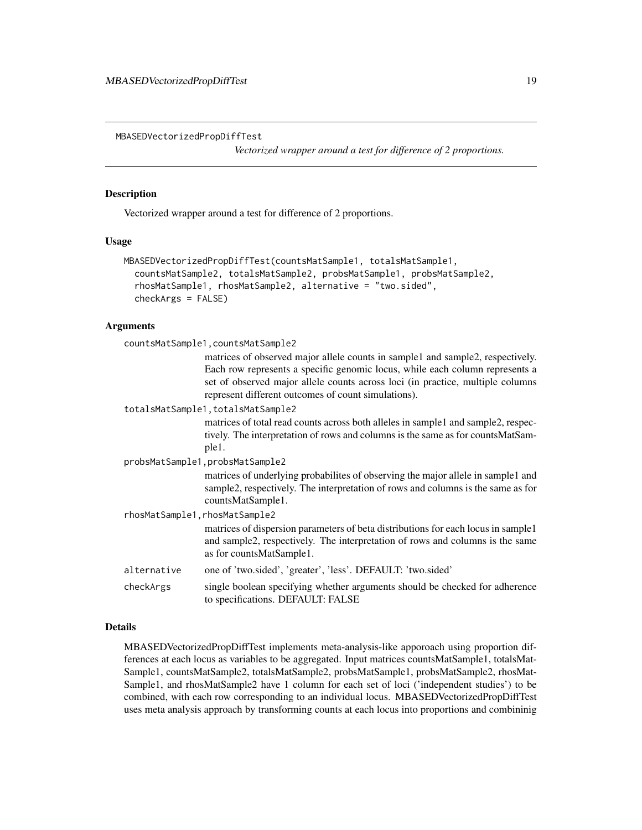<span id="page-18-0"></span>MBASEDVectorizedPropDiffTest

*Vectorized wrapper around a test for difference of 2 proportions.*

#### Description

Vectorized wrapper around a test for difference of 2 proportions.

#### Usage

```
MBASEDVectorizedPropDiffTest(countsMatSample1, totalsMatSample1,
  countsMatSample2, totalsMatSample2, probsMatSample1, probsMatSample2,
  rhosMatSample1, rhosMatSample2, alternative = "two.sided",
  checkArgs = FALSE)
```
#### Arguments

| countsMatSample1, countsMatSample2 |                                                                                                                                                                                                                                                                                                         |  |
|------------------------------------|---------------------------------------------------------------------------------------------------------------------------------------------------------------------------------------------------------------------------------------------------------------------------------------------------------|--|
|                                    | matrices of observed major allele counts in sample1 and sample2, respectively.<br>Each row represents a specific genomic locus, while each column represents a<br>set of observed major allele counts across loci (in practice, multiple columns<br>represent different outcomes of count simulations). |  |
|                                    | totalsMatSample1, totalsMatSample2                                                                                                                                                                                                                                                                      |  |
|                                    | matrices of total read counts across both alleles in sample1 and sample2, respec-<br>tively. The interpretation of rows and columns is the same as for countsMatSam-<br>ple1.                                                                                                                           |  |
| probsMatSample1, probsMatSample2   |                                                                                                                                                                                                                                                                                                         |  |
|                                    | matrices of underlying probabilities of observing the major allele in sample and<br>sample2, respectively. The interpretation of rows and columns is the same as for<br>countsMatSample1.                                                                                                               |  |
| rhosMatSample1, rhosMatSample2     |                                                                                                                                                                                                                                                                                                         |  |
|                                    | matrices of dispersion parameters of beta distributions for each locus in sample1<br>and sample2, respectively. The interpretation of rows and columns is the same<br>as for countsMatSample1.                                                                                                          |  |
| alternative                        | one of 'two.sided', 'greater', 'less'. DEFAULT: 'two.sided'                                                                                                                                                                                                                                             |  |
| checkArgs                          | single boolean specifying whether arguments should be checked for adherence<br>to specifications. DEFAULT: FALSE                                                                                                                                                                                        |  |

#### Details

MBASEDVectorizedPropDiffTest implements meta-analysis-like apporoach using proportion differences at each locus as variables to be aggregated. Input matrices countsMatSample1, totalsMat-Sample1, countsMatSample2, totalsMatSample2, probsMatSample1, probsMatSample2, rhosMat-Sample1, and rhosMatSample2 have 1 column for each set of loci ('independent studies') to be combined, with each row corresponding to an individual locus. MBASEDVectorizedPropDiffTest uses meta analysis approach by transforming counts at each locus into proportions and combininig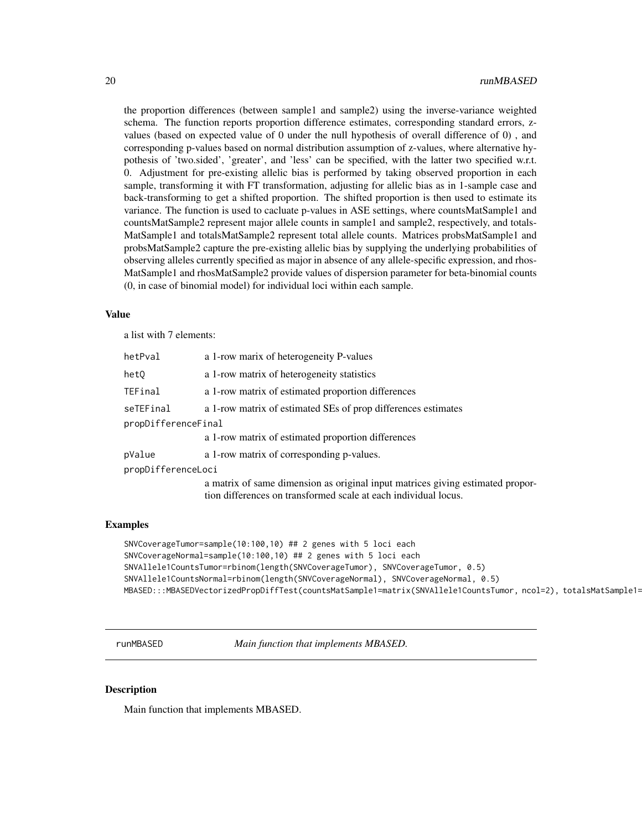<span id="page-19-0"></span>the proportion differences (between sample1 and sample2) using the inverse-variance weighted schema. The function reports proportion difference estimates, corresponding standard errors, zvalues (based on expected value of 0 under the null hypothesis of overall difference of 0) , and corresponding p-values based on normal distribution assumption of z-values, where alternative hypothesis of 'two.sided', 'greater', and 'less' can be specified, with the latter two specified w.r.t. 0. Adjustment for pre-existing allelic bias is performed by taking observed proportion in each sample, transforming it with FT transformation, adjusting for allelic bias as in 1-sample case and back-transforming to get a shifted proportion. The shifted proportion is then used to estimate its variance. The function is used to cacluate p-values in ASE settings, where countsMatSample1 and countsMatSample2 represent major allele counts in sample1 and sample2, respectively, and totals-MatSample1 and totalsMatSample2 represent total allele counts. Matrices probsMatSample1 and probsMatSample2 capture the pre-existing allelic bias by supplying the underlying probabilities of observing alleles currently specified as major in absence of any allele-specific expression, and rhos-MatSample1 and rhosMatSample2 provide values of dispersion parameter for beta-binomial counts (0, in case of binomial model) for individual loci within each sample.

#### Value

a list with 7 elements:

| hetPval             | a 1-row marix of heterogeneity P-values                                                                                                           |  |
|---------------------|---------------------------------------------------------------------------------------------------------------------------------------------------|--|
| hetQ                | a 1-row matrix of heterogeneity statistics                                                                                                        |  |
| TEFinal             | a 1-row matrix of estimated proportion differences                                                                                                |  |
| seTEFinal           | a 1-row matrix of estimated SEs of prop differences estimates                                                                                     |  |
| propDifferenceFinal |                                                                                                                                                   |  |
|                     | a 1-row matrix of estimated proportion differences                                                                                                |  |
| pValue              | a 1-row matrix of corresponding p-values.                                                                                                         |  |
| propDifferenceLoci  |                                                                                                                                                   |  |
|                     | a matrix of same dimension as original input matrices giving estimated propor-<br>tion differences on transformed scale at each individual locus. |  |

#### Examples

```
SNVCoverageTumor=sample(10:100,10) ## 2 genes with 5 loci each
SNVCoverageNormal=sample(10:100,10) ## 2 genes with 5 loci each
SNVAllele1CountsTumor=rbinom(length(SNVCoverageTumor), SNVCoverageTumor, 0.5)
SNVAllele1CountsNormal=rbinom(length(SNVCoverageNormal), SNVCoverageNormal, 0.5)
MBASED:::MBASEDVectorizedPropDiffTest(countsMatSample1=matrix(SNVAllele1CountsTumor, ncol=2), totalsMatSample1=
```
runMBASED *Main function that implements MBASED.*

#### Description

Main function that implements MBASED.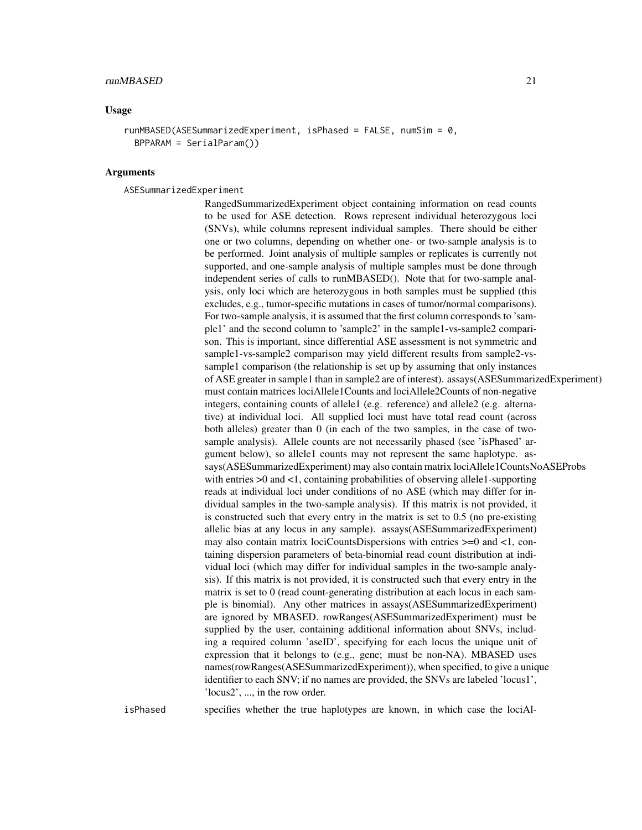#### Usage

```
runMBASED(ASESummarizedExperiment, isPhased = FALSE, numSim = 0,
 BPPARAM = SerialParam())
```
#### Arguments

ASESummarizedExperiment

RangedSummarizedExperiment object containing information on read counts to be used for ASE detection. Rows represent individual heterozygous loci (SNVs), while columns represent individual samples. There should be either one or two columns, depending on whether one- or two-sample analysis is to be performed. Joint analysis of multiple samples or replicates is currently not supported, and one-sample analysis of multiple samples must be done through independent series of calls to runMBASED(). Note that for two-sample analysis, only loci which are heterozygous in both samples must be supplied (this excludes, e.g., tumor-specific mutations in cases of tumor/normal comparisons). For two-sample analysis, it is assumed that the first column corresponds to 'sample1' and the second column to 'sample2' in the sample1-vs-sample2 comparison. This is important, since differential ASE assessment is not symmetric and sample1-vs-sample2 comparison may yield different results from sample2-vssample1 comparison (the relationship is set up by assuming that only instances of ASE greater in sample1 than in sample2 are of interest). assays(ASESummarizedExperiment) must contain matrices lociAllele1Counts and lociAllele2Counts of non-negative integers, containing counts of allele1 (e.g. reference) and allele2 (e.g. alternative) at individual loci. All supplied loci must have total read count (across both alleles) greater than 0 (in each of the two samples, in the case of twosample analysis). Allele counts are not necessarily phased (see 'isPhased' argument below), so allele1 counts may not represent the same haplotype. assays(ASESummarizedExperiment) may also contain matrix lociAllele1CountsNoASEProbs with entries  $>0$  and  $< 1$ , containing probabilities of observing allele1-supporting reads at individual loci under conditions of no ASE (which may differ for individual samples in the two-sample analysis). If this matrix is not provided, it is constructed such that every entry in the matrix is set to 0.5 (no pre-existing allelic bias at any locus in any sample). assays(ASESummarizedExperiment) may also contain matrix lociCountsDispersions with entries >=0 and <1, containing dispersion parameters of beta-binomial read count distribution at individual loci (which may differ for individual samples in the two-sample analysis). If this matrix is not provided, it is constructed such that every entry in the matrix is set to 0 (read count-generating distribution at each locus in each sample is binomial). Any other matrices in assays(ASESummarizedExperiment) are ignored by MBASED. rowRanges(ASESummarizedExperiment) must be supplied by the user, containing additional information about SNVs, including a required column 'aseID', specifying for each locus the unique unit of expression that it belongs to (e.g., gene; must be non-NA). MBASED uses names(rowRanges(ASESummarizedExperiment)), when specified, to give a unique identifier to each SNV; if no names are provided, the SNVs are labeled 'locus1', 'locus2', ..., in the row order.

isPhased specifies whether the true haplotypes are known, in which case the lociAl-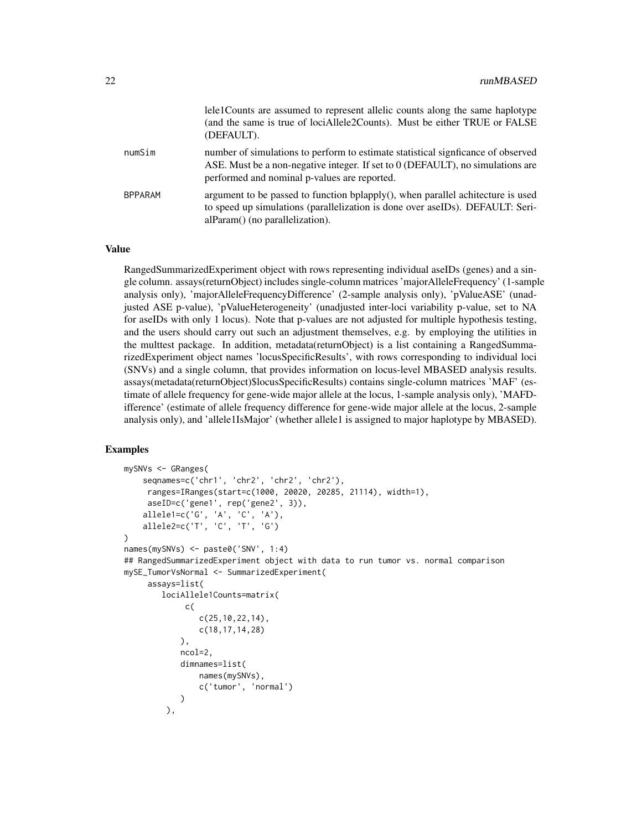|                | lele1Counts are assumed to represent allelic counts along the same haplotype<br>(and the same is true of lociAllele2Counts). Must be either TRUE or FALSE<br>(DEFAULT).                                             |
|----------------|---------------------------------------------------------------------------------------------------------------------------------------------------------------------------------------------------------------------|
| numSim         | number of simulations to perform to estimate statistical significance of observed<br>ASE. Must be a non-negative integer. If set to 0 (DEFAULT), no simulations are<br>performed and nominal p-values are reported. |
| <b>BPPARAM</b> | argument to be passed to function bplapply(), when parallel achitecture is used<br>to speed up simulations (parallelization is done over aseIDs). DEFAULT: Seri-<br>alParam() (no parallelization).                 |

#### Value

RangedSummarizedExperiment object with rows representing individual aseIDs (genes) and a single column. assays(returnObject) includes single-column matrices 'majorAlleleFrequency' (1-sample analysis only), 'majorAlleleFrequencyDifference' (2-sample analysis only), 'pValueASE' (unadjusted ASE p-value), 'pValueHeterogeneity' (unadjusted inter-loci variability p-value, set to NA for aseIDs with only 1 locus). Note that p-values are not adjusted for multiple hypothesis testing, and the users should carry out such an adjustment themselves, e.g. by employing the utilities in the multtest package. In addition, metadata(returnObject) is a list containing a RangedSummarizedExperiment object names 'locusSpecificResults', with rows corresponding to individual loci (SNVs) and a single column, that provides information on locus-level MBASED analysis results. assays(metadata(returnObject)\$locusSpecificResults) contains single-column matrices 'MAF' (estimate of allele frequency for gene-wide major allele at the locus, 1-sample analysis only), 'MAFDifference' (estimate of allele frequency difference for gene-wide major allele at the locus, 2-sample analysis only), and 'allele1IsMajor' (whether allele1 is assigned to major haplotype by MBASED).

#### Examples

```
mySNVs <- GRanges(
    seqnames=c('chr1', 'chr2', 'chr2', 'chr2'),
     ranges=IRanges(start=c(1000, 20020, 20285, 21114), width=1),
     aseID=c('gene1', rep('gene2', 3)),
    allele1=c('G', 'A', 'C', 'A'),
    allele2=c('T', 'C', 'T', 'G')
)
names(mySNVs) <- paste0('SNV', 1:4)
## RangedSummarizedExperiment object with data to run tumor vs. normal comparison
mySE_TumorVsNormal <- SummarizedExperiment(
     assays=list(
        lociAllele1Counts=matrix(
             c(
                c(25,10,22,14),
                c(18,17,14,28)
            ),
            ncol=2,
            dimnames=list(
                names(mySNVs),
                c('tumor', 'normal')
            \lambda),
```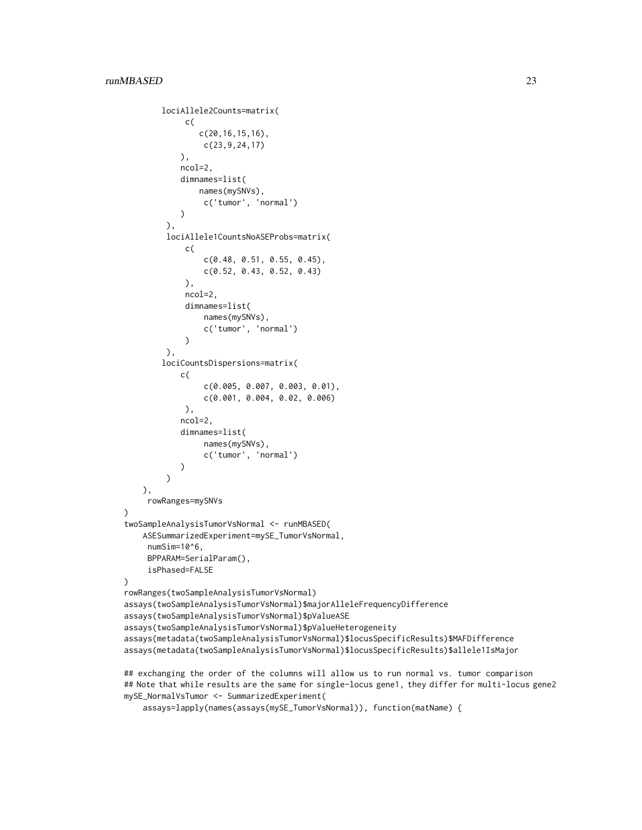```
lociAllele2Counts=matrix(
             c(
                c(20,16,15,16),
                 c(23,9,24,17)
            ),
            ncol=2,
            dimnames=list(
                names(mySNVs),
                 c('tumor', 'normal')
            \lambda),
         lociAllele1CountsNoASEProbs=matrix(
             c(
                 c(0.48, 0.51, 0.55, 0.45),
                 c(0.52, 0.43, 0.52, 0.43)
             ),
             ncol=2,
             dimnames=list(
                 names(mySNVs),
                 c('tumor', 'normal')
             )
         ),
        lociCountsDispersions=matrix(
            c(
                 c(0.005, 0.007, 0.003, 0.01),
                 c(0.001, 0.004, 0.02, 0.006)
             ),
            ncol=2,
            dimnames=list(
                 names(mySNVs),
                 c('tumor', 'normal')
            )
         \lambda),
     rowRanges=mySNVs
)
twoSampleAnalysisTumorVsNormal <- runMBASED(
    ASESummarizedExperiment=mySE_TumorVsNormal,
     numSim=10^6,
     BPPARAM=SerialParam(),
     isPhased=FALSE
)
rowRanges(twoSampleAnalysisTumorVsNormal)
assays(twoSampleAnalysisTumorVsNormal)$majorAlleleFrequencyDifference
assays(twoSampleAnalysisTumorVsNormal)$pValueASE
assays(twoSampleAnalysisTumorVsNormal)$pValueHeterogeneity
assays(metadata(twoSampleAnalysisTumorVsNormal)$locusSpecificResults)$MAFDifference
assays(metadata(twoSampleAnalysisTumorVsNormal)$locusSpecificResults)$allele1IsMajor
```
## exchanging the order of the columns will allow us to run normal vs. tumor comparison ## Note that while results are the same for single-locus gene1, they differ for multi-locus gene2 mySE\_NormalVsTumor <- SummarizedExperiment(

```
assays=lapply(names(assays(mySE_TumorVsNormal)), function(matName) {
```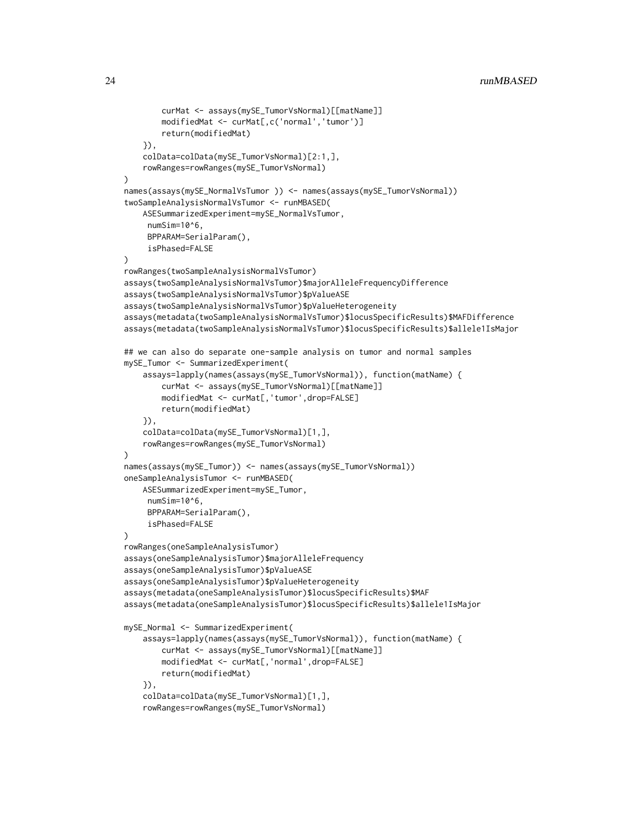```
curMat <- assays(mySE_TumorVsNormal)[[matName]]
        modifiedMat <- curMat[,c('normal','tumor')]
        return(modifiedMat)
    }),
    colData=colData(mySE_TumorVsNormal)[2:1,],
    rowRanges=rowRanges(mySE_TumorVsNormal)
)
names(assays(mySE_NormalVsTumor )) <- names(assays(mySE_TumorVsNormal))
twoSampleAnalysisNormalVsTumor <- runMBASED(
    ASESummarizedExperiment=mySE_NormalVsTumor,
     numSim=10^6,
     BPPARAM=SerialParam(),
     isPhased=FALSE
\lambdarowRanges(twoSampleAnalysisNormalVsTumor)
assays(twoSampleAnalysisNormalVsTumor)$majorAlleleFrequencyDifference
assays(twoSampleAnalysisNormalVsTumor)$pValueASE
assays(twoSampleAnalysisNormalVsTumor)$pValueHeterogeneity
assays(metadata(twoSampleAnalysisNormalVsTumor)$locusSpecificResults)$MAFDifference
assays(metadata(twoSampleAnalysisNormalVsTumor)$locusSpecificResults)$allele1IsMajor
## we can also do separate one-sample analysis on tumor and normal samples
mySE_Tumor <- SummarizedExperiment(
    assays=lapply(names(assays(mySE_TumorVsNormal)), function(matName) {
        curMat <- assays(mySE_TumorVsNormal)[[matName]]
        modifiedMat <- curMat[,'tumor',drop=FALSE]
        return(modifiedMat)
    }),
    colData=colData(mySE_TumorVsNormal)[1,],
    rowRanges=rowRanges(mySE_TumorVsNormal)
\lambdanames(assays(mySE_Tumor)) <- names(assays(mySE_TumorVsNormal))
oneSampleAnalysisTumor <- runMBASED(
    ASESummarizedExperiment=mySE_Tumor,
     numSim=10^6,
     BPPARAM=SerialParam(),
     isPhased=FALSE
)
rowRanges(oneSampleAnalysisTumor)
assays(oneSampleAnalysisTumor)$majorAlleleFrequency
assays(oneSampleAnalysisTumor)$pValueASE
assays(oneSampleAnalysisTumor)$pValueHeterogeneity
assays(metadata(oneSampleAnalysisTumor)$locusSpecificResults)$MAF
assays(metadata(oneSampleAnalysisTumor)$locusSpecificResults)$allele1IsMajor
mySE_Normal <- SummarizedExperiment(
    assays=lapply(names(assays(mySE_TumorVsNormal)), function(matName) {
        curMat <- assays(mySE_TumorVsNormal)[[matName]]
        modifiedMat <- curMat[,'normal',drop=FALSE]
        return(modifiedMat)
    }),
    colData=colData(mySE_TumorVsNormal)[1,],
    rowRanges=rowRanges(mySE_TumorVsNormal)
```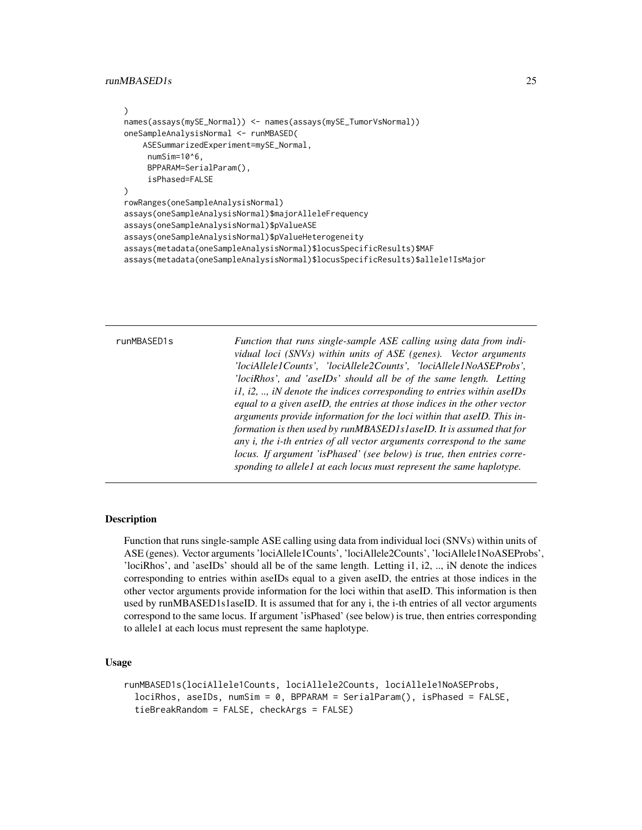#### <span id="page-24-0"></span>runMBASED1s 25

```
)
names(assays(mySE_Normal)) <- names(assays(mySE_TumorVsNormal))
oneSampleAnalysisNormal <- runMBASED(
   ASESummarizedExperiment=mySE_Normal,
     numSim=10^6,
     BPPARAM=SerialParam(),
     isPhased=FALSE
\mathcal{L}rowRanges(oneSampleAnalysisNormal)
assays(oneSampleAnalysisNormal)$majorAlleleFrequency
assays(oneSampleAnalysisNormal)$pValueASE
assays(oneSampleAnalysisNormal)$pValueHeterogeneity
assays(metadata(oneSampleAnalysisNormal)$locusSpecificResults)$MAF
assays(metadata(oneSampleAnalysisNormal)$locusSpecificResults)$allele1IsMajor
```

| runMBASED1s | Function that runs single-sample ASE calling using data from indi-<br>vidual loci (SNVs) within units of ASE (genes). Vector arguments<br>'lociAllele1Counts', 'lociAllele2Counts', 'lociAllele1NoASEProbs',<br>'lociRhos', and 'aseIDs' should all be of the same length. Letting<br>$i, i, i, j$ , $i, j$ denote the indices corresponding to entries within aseIDs<br>equal to a given aseID, the entries at those indices in the other vector |
|-------------|---------------------------------------------------------------------------------------------------------------------------------------------------------------------------------------------------------------------------------------------------------------------------------------------------------------------------------------------------------------------------------------------------------------------------------------------------|
|             | arguments provide information for the loci within that aseID. This in-<br>formation is then used by runMBASED1s1aseID. It is assumed that for<br>any i, the <i>i</i> -th entries of all vector arguments correspond to the same<br>locus. If argument 'isPhased' (see below) is true, then entries corre-<br>sponding to allele1 at each locus must represent the same haplotype.                                                                 |

#### Description

Function that runs single-sample ASE calling using data from individual loci (SNVs) within units of ASE (genes). Vector arguments 'lociAllele1Counts', 'lociAllele2Counts', 'lociAllele1NoASEProbs', 'lociRhos', and 'aseIDs' should all be of the same length. Letting i1, i2, .., iN denote the indices corresponding to entries within aseIDs equal to a given aseID, the entries at those indices in the other vector arguments provide information for the loci within that aseID. This information is then used by runMBASED1s1aseID. It is assumed that for any i, the i-th entries of all vector arguments correspond to the same locus. If argument 'isPhased' (see below) is true, then entries corresponding to allele1 at each locus must represent the same haplotype.

#### Usage

```
runMBASED1s(lociAllele1Counts, lociAllele2Counts, lociAllele1NoASEProbs,
 lociRhos, aseIDs, numSim = 0, BPPARAM = SerialParam(), isPhased = FALSE,
 tieBreakRandom = FALSE, checkArgs = FALSE)
```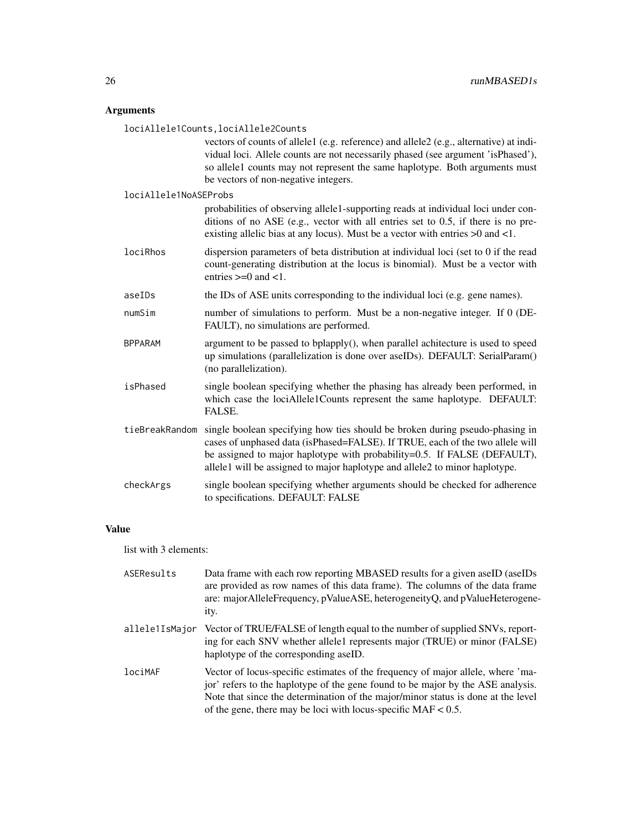### Arguments

lociAllele1Counts,lociAllele2Counts

|                       | vectors of counts of allele1 (e.g. reference) and allele2 (e.g., alternative) at indi-<br>vidual loci. Allele counts are not necessarily phased (see argument 'isPhased'),<br>so allele1 counts may not represent the same haplotype. Both arguments must<br>be vectors of non-negative integers.                        |
|-----------------------|--------------------------------------------------------------------------------------------------------------------------------------------------------------------------------------------------------------------------------------------------------------------------------------------------------------------------|
| lociAllele1NoASEProbs |                                                                                                                                                                                                                                                                                                                          |
|                       | probabilities of observing allele1-supporting reads at individual loci under con-<br>ditions of no ASE (e.g., vector with all entries set to 0.5, if there is no pre-<br>existing allelic bias at any locus). Must be a vector with entries $>0$ and $<1$ .                                                              |
| lociRhos              | dispersion parameters of beta distribution at individual loci (set to 0 if the read<br>count-generating distribution at the locus is binomial). Must be a vector with<br>entries $>=0$ and $<1$ .                                                                                                                        |
| aseIDs                | the IDs of ASE units corresponding to the individual loci (e.g. gene names).                                                                                                                                                                                                                                             |
| numSim                | number of simulations to perform. Must be a non-negative integer. If 0 (DE-<br>FAULT), no simulations are performed.                                                                                                                                                                                                     |
| <b>BPPARAM</b>        | argument to be passed to bplapply(), when parallel achitecture is used to speed<br>up simulations (parallelization is done over aseIDs). DEFAULT: SerialParam()<br>(no parallelization).                                                                                                                                 |
| isPhased              | single boolean specifying whether the phasing has already been performed, in<br>which case the lociAllele1Counts represent the same haplotype. DEFAULT:<br>FALSE.                                                                                                                                                        |
| tieBreakRandom        | single boolean specifying how ties should be broken during pseudo-phasing in<br>cases of unphased data (isPhased=FALSE). If TRUE, each of the two allele will<br>be assigned to major haplotype with probability=0.5. If FALSE (DEFAULT),<br>allele1 will be assigned to major haplotype and allele2 to minor haplotype. |
| checkArgs             | single boolean specifying whether arguments should be checked for adherence<br>to specifications. DEFAULT: FALSE                                                                                                                                                                                                         |

#### Value

list with 3 elements:

| ASEResults     | Data frame with each row reporting MBASED results for a given aseID (aseIDs)<br>are provided as row names of this data frame). The columns of the data frame<br>are: majorAlleleFrequency, pValueASE, heterogeneityQ, and pValueHeterogene-<br>ity.                                                                        |
|----------------|----------------------------------------------------------------------------------------------------------------------------------------------------------------------------------------------------------------------------------------------------------------------------------------------------------------------------|
| allele1IsMajor | Vector of TRUE/FALSE of length equal to the number of supplied SNVs, report-<br>ing for each SNV whether allele1 represents major (TRUE) or minor (FALSE)<br>haplotype of the corresponding aseID.                                                                                                                         |
| lociMAF        | Vector of locus-specific estimates of the frequency of major allele, where 'ma-<br>jor' refers to the haplotype of the gene found to be major by the ASE analysis.<br>Note that since the determination of the major/minor status is done at the level<br>of the gene, there may be loci with locus-specific $MAF < 0.5$ . |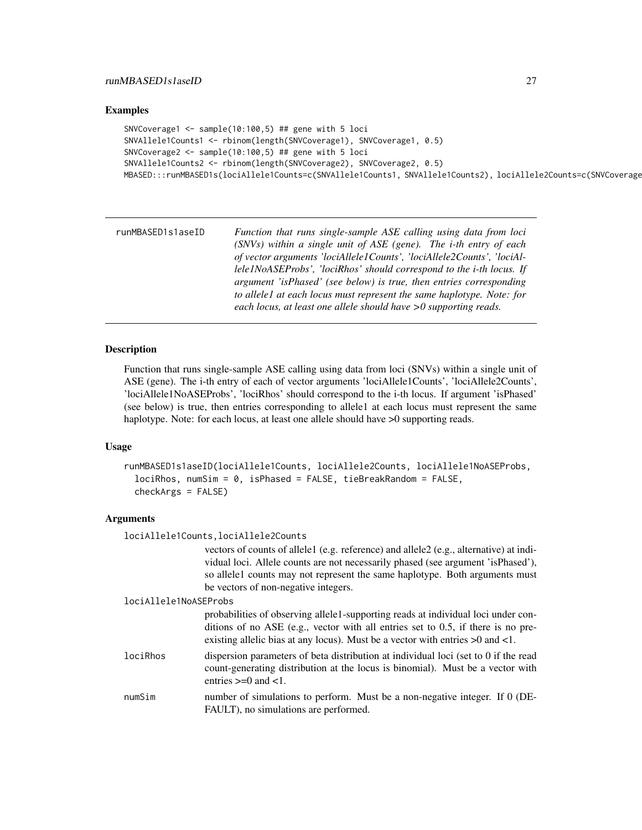#### <span id="page-26-0"></span>Examples

```
SNVCoverage1 \le sample(10:100,5) ## gene with 5 loci
SNVAllele1Counts1 <- rbinom(length(SNVCoverage1), SNVCoverage1, 0.5)
SNVCoverage2 <- sample(10:100,5) ## gene with 5 loci
SNVAllele1Counts2 <- rbinom(length(SNVCoverage2), SNVCoverage2, 0.5)
MBASED:::runMBASED1s(lociAllele1Counts=c(SNVAllele1Counts1, SNVAllele1Counts2), lociAllele2Counts=c(SNVCoverage
```
runMBASED1s1aseID *Function that runs single-sample ASE calling using data from loci (SNVs) within a single unit of ASE (gene). The i-th entry of each of vector arguments 'lociAllele1Counts', 'lociAllele2Counts', 'lociAllele1NoASEProbs', 'lociRhos' should correspond to the i-th locus. If argument 'isPhased' (see below) is true, then entries corresponding to allele1 at each locus must represent the same haplotype. Note: for each locus, at least one allele should have >0 supporting reads.*

#### Description

Function that runs single-sample ASE calling using data from loci (SNVs) within a single unit of ASE (gene). The i-th entry of each of vector arguments 'lociAllele1Counts', 'lociAllele2Counts', 'lociAllele1NoASEProbs', 'lociRhos' should correspond to the i-th locus. If argument 'isPhased' (see below) is true, then entries corresponding to allele1 at each locus must represent the same haplotype. Note: for each locus, at least one allele should have  $>0$  supporting reads.

#### Usage

```
runMBASED1s1aseID(lociAllele1Counts, lociAllele2Counts, lociAllele1NoASEProbs,
 lociRhos, numSim = 0, isPhased = FALSE, tieBreakRandom = FALSE,
 checkArgs = FALSE)
```
#### Arguments

lociAllele1Counts,lociAllele2Counts

```
vectors of counts of allele1 (e.g. reference) and allele2 (e.g., alternative) at indi-
vidual loci. Allele counts are not necessarily phased (see argument 'isPhased'),
so allele1 counts may not represent the same haplotype. Both arguments must
be vectors of non-negative integers.
```
#### lociAllele1NoASEProbs

probabilities of observing allele1-supporting reads at individual loci under conditions of no ASE (e.g., vector with all entries set to 0.5, if there is no preexisting allelic bias at any locus). Must be a vector with entries >0 and <1.

- lociRhos dispersion parameters of beta distribution at individual loci (set to 0 if the read count-generating distribution at the locus is binomial). Must be a vector with entries  $\geq 0$  and  $\lt 1$ .
- numSim number of simulations to perform. Must be a non-negative integer. If 0 (DE-FAULT), no simulations are performed.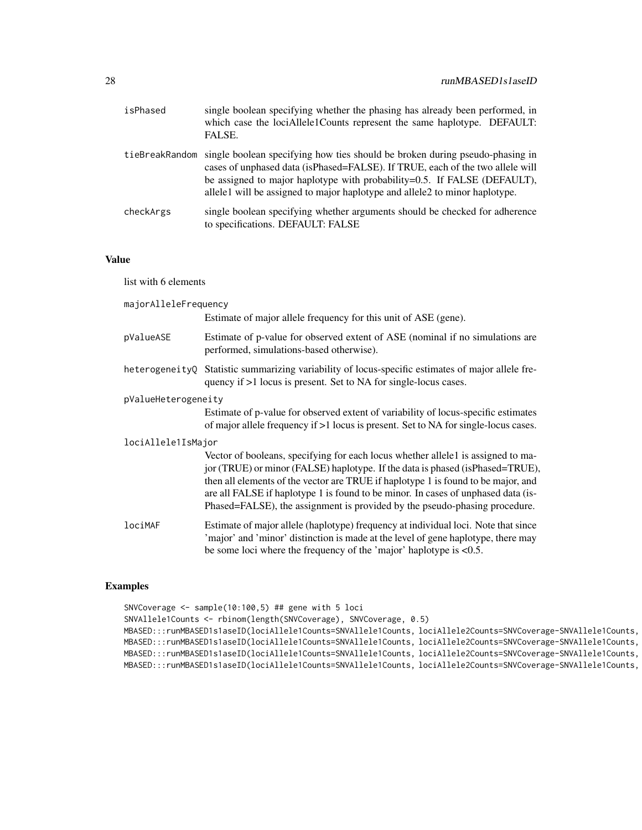| isPhased       | single boolean specifying whether the phasing has already been performed, in<br>which case the lociAllele1Counts represent the same haplotype. DEFAULT:<br>FALSE.                                                                                                                                                        |
|----------------|--------------------------------------------------------------------------------------------------------------------------------------------------------------------------------------------------------------------------------------------------------------------------------------------------------------------------|
| tieBreakRandom | single boolean specifying how ties should be broken during pseudo-phasing in<br>cases of unphased data (isPhased=FALSE). If TRUE, each of the two allele will<br>be assigned to major haplotype with probability=0.5. If FALSE (DEFAULT),<br>allele1 will be assigned to major haplotype and allele2 to minor haplotype. |
| checkArgs      | single boolean specifying whether arguments should be checked for adherence<br>to specifications. DEFAULT: FALSE                                                                                                                                                                                                         |

#### Value

list with 6 elements

| majorAlleleFrequency | Estimate of major allele frequency for this unit of ASE (gene).                                                                                                                                                                                                                                                                                                                                                           |
|----------------------|---------------------------------------------------------------------------------------------------------------------------------------------------------------------------------------------------------------------------------------------------------------------------------------------------------------------------------------------------------------------------------------------------------------------------|
| pValueASE            | Estimate of p-value for observed extent of ASE (nominal if no simulations are<br>performed, simulations-based otherwise).                                                                                                                                                                                                                                                                                                 |
|                      | heterogeneityQ Statistic summarizing variability of locus-specific estimates of major allele fre-<br>quency if >1 locus is present. Set to NA for single-locus cases.                                                                                                                                                                                                                                                     |
| pValueHeterogeneity  | Estimate of p-value for observed extent of variability of locus-specific estimates<br>of major allele frequency if >1 locus is present. Set to NA for single-locus cases.                                                                                                                                                                                                                                                 |
| lociAllele1IsMajor   | Vector of booleans, specifying for each locus whether allele1 is assigned to ma-<br>jor (TRUE) or minor (FALSE) haplotype. If the data is phased (isPhased=TRUE),<br>then all elements of the vector are TRUE if haplotype 1 is found to be major, and<br>are all FALSE if haplotype 1 is found to be minor. In cases of unphased data (is-<br>Phased=FALSE), the assignment is provided by the pseudo-phasing procedure. |
| lociMAF              | Estimate of major allele (haplotype) frequency at individual loci. Note that since<br>'major' and 'minor' distinction is made at the level of gene haplotype, there may<br>be some loci where the frequency of the 'major' haplotype is $< 0.5$ .                                                                                                                                                                         |

#### Examples

```
SNVCoverage <- sample(10:100,5) ## gene with 5 loci
SNVAllele1Counts <- rbinom(length(SNVCoverage), SNVCoverage, 0.5)
MBASED:::runMBASED1s1aseID(lociAllele1Counts=SNVAllele1Counts, lociAllele2Counts=SNVCoverage-SNVAllele1Counts,
MBASED:::runMBASED1s1aseID(lociAllele1Counts=SNVAllele1Counts, lociAllele2Counts=SNVCoverage-SNVAllele1Counts,
MBASED:::runMBASED1s1aseID(lociAllele1Counts=SNVAllele1Counts, lociAllele2Counts=SNVCoverage-SNVAllele1Counts,
MBASED:::runMBASED1s1aseID(lociAllele1Counts=SNVAllele1Counts, lociAllele2Counts=SNVCoverage-SNVAllele1Counts,
```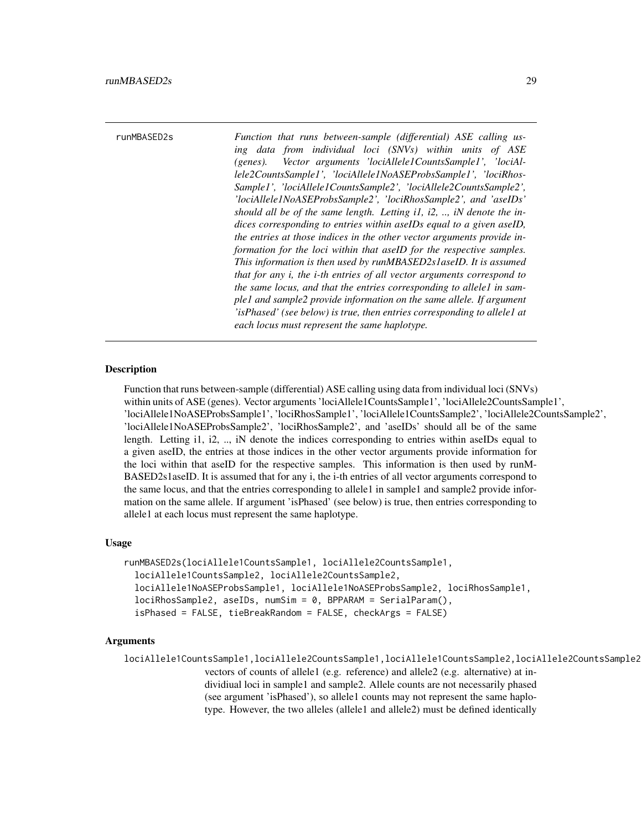<span id="page-28-0"></span>runMBASED2s *Function that runs between-sample (differential) ASE calling using data from individual loci (SNVs) within units of ASE (genes). Vector arguments 'lociAllele1CountsSample1', 'lociAllele2CountsSample1', 'lociAllele1NoASEProbsSample1', 'lociRhos-Sample1', 'lociAllele1CountsSample2', 'lociAllele2CountsSample2', 'lociAllele1NoASEProbsSample2', 'lociRhosSample2', and 'aseIDs' should all be of the same length. Letting i1, i2, .., iN denote the indices corresponding to entries within aseIDs equal to a given aseID, the entries at those indices in the other vector arguments provide information for the loci within that aseID for the respective samples. This information is then used by runMBASED2s1aseID. It is assumed that for any i, the i-th entries of all vector arguments correspond to the same locus, and that the entries corresponding to allele1 in sample1 and sample2 provide information on the same allele. If argument 'isPhased' (see below) is true, then entries corresponding to allele1 at each locus must represent the same haplotype.*

#### Description

Function that runs between-sample (differential) ASE calling using data from individual loci (SNVs) within units of ASE (genes). Vector arguments 'lociAllele1CountsSample1', 'lociAllele2CountsSample1', 'lociAllele1NoASEProbsSample1', 'lociRhosSample1', 'lociAllele1CountsSample2', 'lociAllele2CountsSample2', 'lociAllele1NoASEProbsSample2', 'lociRhosSample2', and 'aseIDs' should all be of the same length. Letting i1, i2, .., iN denote the indices corresponding to entries within aseIDs equal to a given aseID, the entries at those indices in the other vector arguments provide information for the loci within that aseID for the respective samples. This information is then used by runM-BASED2s1aseID. It is assumed that for any i, the i-th entries of all vector arguments correspond to the same locus, and that the entries corresponding to allele1 in sample1 and sample2 provide information on the same allele. If argument 'isPhased' (see below) is true, then entries corresponding to allele1 at each locus must represent the same haplotype.

#### Usage

```
runMBASED2s(lociAllele1CountsSample1, lociAllele2CountsSample1,
 lociAllele1CountsSample2, lociAllele2CountsSample2,
 lociAllele1NoASEProbsSample1, lociAllele1NoASEProbsSample2, lociRhosSample1,
 lociRhosSample2, aseIDs, numSim = 0, BPPARAM = SerialParam(),
 isPhased = FALSE, tieBreakRandom = FALSE, checkArgs = FALSE)
```
#### Arguments

lociAllele1CountsSample1,lociAllele2CountsSample1,lociAllele1CountsSample2,lociAllele2CountsSample2 vectors of counts of allele1 (e.g. reference) and allele2 (e.g. alternative) at individiual loci in sample1 and sample2. Allele counts are not necessarily phased (see argument 'isPhased'), so allele1 counts may not represent the same haplotype. However, the two alleles (allele1 and allele2) must be defined identically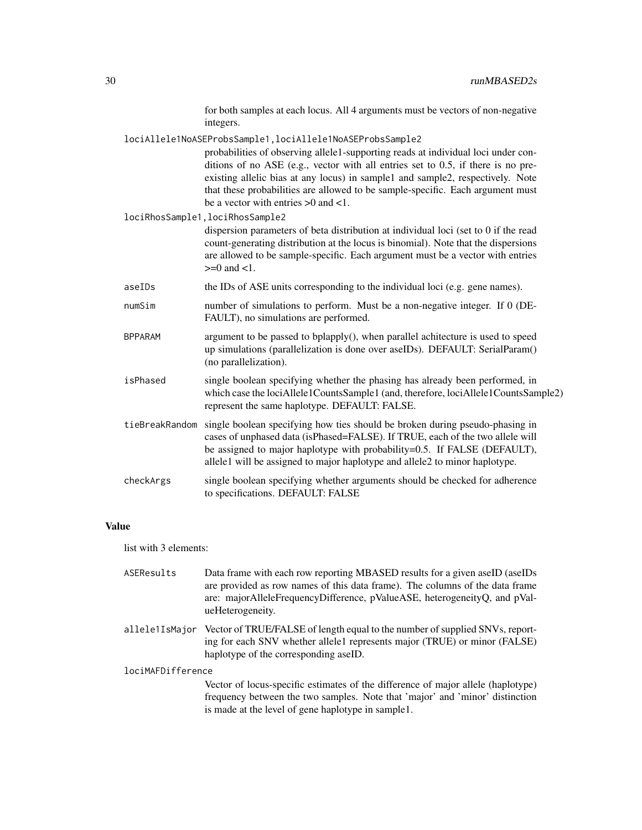for both samples at each locus. All 4 arguments must be vectors of non-negative integers.

lociAllele1NoASEProbsSample1,lociAllele1NoASEProbsSample2

probabilities of observing allele1-supporting reads at individual loci under conditions of no ASE (e.g., vector with all entries set to 0.5, if there is no preexisting allelic bias at any locus) in sample1 and sample2, respectively. Note that these probabilities are allowed to be sample-specific. Each argument must be a vector with entries >0 and <1.

lociRhosSample1,lociRhosSample2

dispersion parameters of beta distribution at individual loci (set to 0 if the read count-generating distribution at the locus is binomial). Note that the dispersions are allowed to be sample-specific. Each argument must be a vector with entries  $>=0$  and  $<1$ .

- aseIDs the IDs of ASE units corresponding to the individual loci (e.g. gene names).
- numSim number of simulations to perform. Must be a non-negative integer. If 0 (DE-FAULT), no simulations are performed.
- $BPPARAM$  argument to be passed to bplapply(), when parallel achitecture is used to speed up simulations (parallelization is done over aseIDs). DEFAULT: SerialParam() (no parallelization).
- isPhased single boolean specifying whether the phasing has already been performed, in which case the lociAllele1CountsSample1 (and, therefore, lociAllele1CountsSample2) represent the same haplotype. DEFAULT: FALSE.
- tieBreakRandom single boolean specifying how ties should be broken during pseudo-phasing in cases of unphased data (isPhased=FALSE). If TRUE, each of the two allele will be assigned to major haplotype with probability=0.5. If FALSE (DEFAULT), allele1 will be assigned to major haplotype and allele2 to minor haplotype.
- checkArgs single boolean specifying whether arguments should be checked for adherence to specifications. DEFAULT: FALSE

#### Value

list with 3 elements:

| ASEResults        | Data frame with each row reporting MBASED results for a given aseID (aseIDs)<br>are provided as row names of this data frame). The columns of the data frame<br>are: majorAlleleFrequencyDifference, pValueASE, heterogeneityQ, and pVal-<br>ueHeterogeneity. |
|-------------------|---------------------------------------------------------------------------------------------------------------------------------------------------------------------------------------------------------------------------------------------------------------|
| allele1IsMajor    | Vector of TRUE/FALSE of length equal to the number of supplied SNVs, report-<br>ing for each SNV whether allele1 represents major (TRUE) or minor (FALSE)<br>haplotype of the corresponding aseID.                                                            |
| lociMAFDifference |                                                                                                                                                                                                                                                               |
|                   | Vector of locus-specific estimates of the difference of major allele (haplotype)<br>frequency between the two samples. Note that 'major' and 'minor' distinction                                                                                              |

is made at the level of gene haplotype in sample1.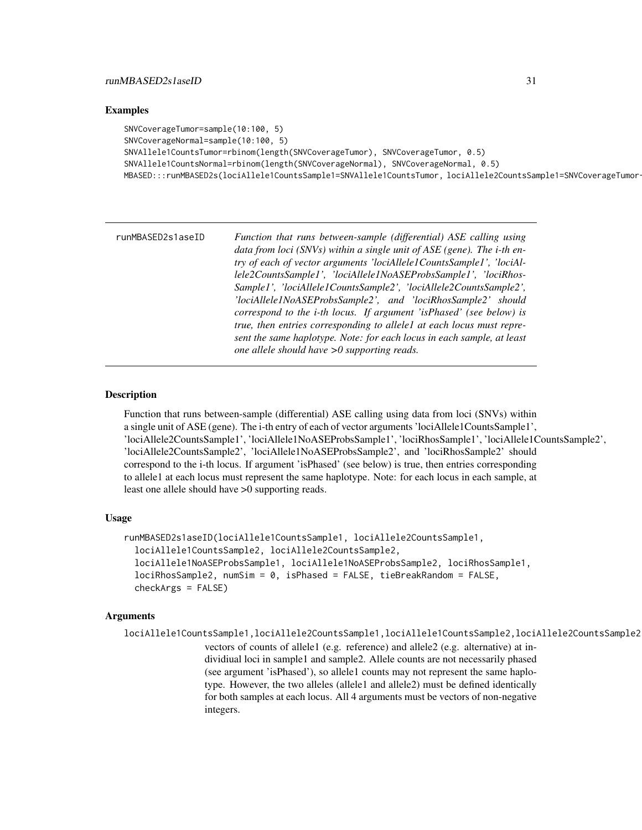#### <span id="page-30-0"></span>Examples

```
SNVCoverageTumor=sample(10:100, 5)
SNVCoverageNormal=sample(10:100, 5)
SNVAllele1CountsTumor=rbinom(length(SNVCoverageTumor), SNVCoverageTumor, 0.5)
SNVAllele1CountsNormal=rbinom(length(SNVCoverageNormal), SNVCoverageNormal, 0.5)
MBASED:::runMBASED2s(lociAllele1CountsSample1=SNVAllele1CountsTumor, lociAllele2CountsSample1=SNVCoverageTumor
```

| runMBASED2s1aseID | Function that runs between-sample (differential) ASE calling using               |
|-------------------|----------------------------------------------------------------------------------|
|                   | data from loci (SNVs) within a single unit of $ASE$ (gene). The <i>i</i> -th en- |
|                   | try of each of vector arguments 'lociAllele1CountsSample1', 'lociAl-             |
|                   | lele2CountsSample1', 'lociAllele1NoASEProbsSample1', 'lociRhos-                  |
|                   | Sample1', 'lociAllele1CountsSample2', 'lociAllele2CountsSample2',                |
|                   | 'lociAllele1NoASEProbsSample2', and 'lociRhosSample2' should                     |
|                   | correspond to the <i>i</i> -th locus. If argument 'is Phased' (see below) is     |
|                   | true, then entries corresponding to allele1 at each locus must repre-            |
|                   | sent the same haplotype. Note: for each locus in each sample, at least           |
|                   | one allele should have $>0$ supporting reads.                                    |

#### Description

Function that runs between-sample (differential) ASE calling using data from loci (SNVs) within a single unit of ASE (gene). The i-th entry of each of vector arguments 'lociAllele1CountsSample1', 'lociAllele2CountsSample1', 'lociAllele1NoASEProbsSample1', 'lociRhosSample1', 'lociAllele1CountsSample2', 'lociAllele2CountsSample2', 'lociAllele1NoASEProbsSample2', and 'lociRhosSample2' should correspond to the i-th locus. If argument 'isPhased' (see below) is true, then entries corresponding to allele1 at each locus must represent the same haplotype. Note: for each locus in each sample, at least one allele should have >0 supporting reads.

#### Usage

```
runMBASED2s1aseID(lociAllele1CountsSample1, lociAllele2CountsSample1,
  lociAllele1CountsSample2, lociAllele2CountsSample2,
  lociAllele1NoASEProbsSample1, lociAllele1NoASEProbsSample2, lociRhosSample1,
  lociRhosSample2, numSim = 0, isPhased = FALSE, tieBreakRandom = FALSE,
  checkArgs = FALSE)
```
#### Arguments

```
lociAllele1CountsSample1,lociAllele2CountsSample1,lociAllele1CountsSample2,lociAllele2CountsSample2
                  vectors of counts of allele1 (e.g. reference) and allele2 (e.g. alternative) at in-
                  dividiual loci in sample1 and sample2. Allele counts are not necessarily phased
                  (see argument 'isPhased'), so allele1 counts may not represent the same haplo-
                  type. However, the two alleles (allele1 and allele2) must be defined identically
                  for both samples at each locus. All 4 arguments must be vectors of non-negative
                  integers.
```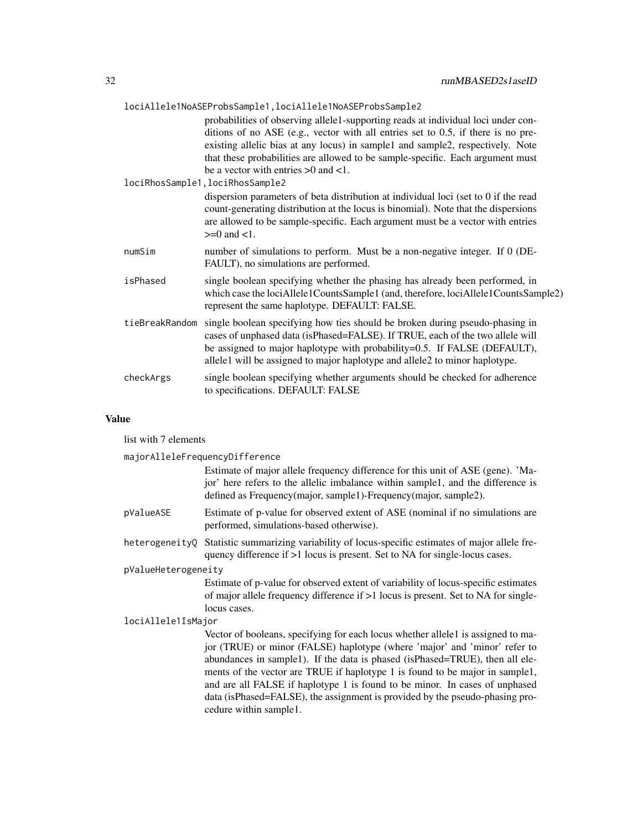| lociAllele1NoASEProbsSample1, lociAllele1NoASEProbsSample2 |                                                                                                                                                                                                                                                                                                                                                                                                                                                                                                                                                                                                                                                                                                              |  |
|------------------------------------------------------------|--------------------------------------------------------------------------------------------------------------------------------------------------------------------------------------------------------------------------------------------------------------------------------------------------------------------------------------------------------------------------------------------------------------------------------------------------------------------------------------------------------------------------------------------------------------------------------------------------------------------------------------------------------------------------------------------------------------|--|
|                                                            | probabilities of observing allele1-supporting reads at individual loci under con-<br>ditions of no ASE (e.g., vector with all entries set to 0.5, if there is no pre-<br>existing allelic bias at any locus) in sample1 and sample2, respectively. Note<br>that these probabilities are allowed to be sample-specific. Each argument must<br>be a vector with entries $>0$ and $<1$ .<br>lociRhosSample1, lociRhosSample2<br>dispersion parameters of beta distribution at individual loci (set to 0 if the read<br>count-generating distribution at the locus is binomial). Note that the dispersions<br>are allowed to be sample-specific. Each argument must be a vector with entries<br>$>=0$ and $<1$ . |  |
| numSim                                                     | number of simulations to perform. Must be a non-negative integer. If 0 (DE-<br>FAULT), no simulations are performed.                                                                                                                                                                                                                                                                                                                                                                                                                                                                                                                                                                                         |  |
| isPhased                                                   | single boolean specifying whether the phasing has already been performed, in<br>which case the lociAllele1CountsSample1 (and, therefore, lociAllele1CountsSample2)<br>represent the same haplotype. DEFAULT: FALSE.                                                                                                                                                                                                                                                                                                                                                                                                                                                                                          |  |
| tieBreakRandom                                             | single boolean specifying how ties should be broken during pseudo-phasing in<br>cases of unphased data (isPhased=FALSE). If TRUE, each of the two allele will<br>be assigned to major haplotype with probability=0.5. If FALSE (DEFAULT),<br>allele1 will be assigned to major haplotype and allele2 to minor haplotype.                                                                                                                                                                                                                                                                                                                                                                                     |  |
| checkArgs                                                  | single boolean specifying whether arguments should be checked for adherence<br>to specifications. DEFAULT: FALSE                                                                                                                                                                                                                                                                                                                                                                                                                                                                                                                                                                                             |  |

### Value

list with 7 elements

|                     | majorAlleleFrequencyDifference                                                                                                                                                                                                                                                                                                                                                                                                                                                                                         |
|---------------------|------------------------------------------------------------------------------------------------------------------------------------------------------------------------------------------------------------------------------------------------------------------------------------------------------------------------------------------------------------------------------------------------------------------------------------------------------------------------------------------------------------------------|
|                     | Estimate of major allele frequency difference for this unit of ASE (gene). 'Ma-<br>jor' here refers to the allelic imbalance within sample1, and the difference is<br>defined as Frequency(major, sample1)-Frequency(major, sample2).                                                                                                                                                                                                                                                                                  |
| pValueASE           | Estimate of p-value for observed extent of ASE (nominal if no simulations are<br>performed, simulations-based otherwise).                                                                                                                                                                                                                                                                                                                                                                                              |
| heterogeneityQ      | Statistic summarizing variability of locus-specific estimates of major allele fre-<br>quency difference if >1 locus is present. Set to NA for single-locus cases.                                                                                                                                                                                                                                                                                                                                                      |
| pValueHeterogeneity |                                                                                                                                                                                                                                                                                                                                                                                                                                                                                                                        |
|                     | Estimate of p-value for observed extent of variability of locus-specific estimates<br>of major allele frequency difference if >1 locus is present. Set to NA for single-<br>locus cases.                                                                                                                                                                                                                                                                                                                               |
| lociAllele1IsMajor  |                                                                                                                                                                                                                                                                                                                                                                                                                                                                                                                        |
|                     | Vector of booleans, specifying for each locus whether allele1 is assigned to ma-<br>jor (TRUE) or minor (FALSE) haplotype (where 'major' and 'minor' refer to<br>abundances in sample1). If the data is phased (isPhased=TRUE), then all ele-<br>ments of the vector are TRUE if haplotype 1 is found to be major in sample1,<br>and are all FALSE if haplotype 1 is found to be minor. In cases of unphased<br>data (isPhased=FALSE), the assignment is provided by the pseudo-phasing pro-<br>cedure within sample1. |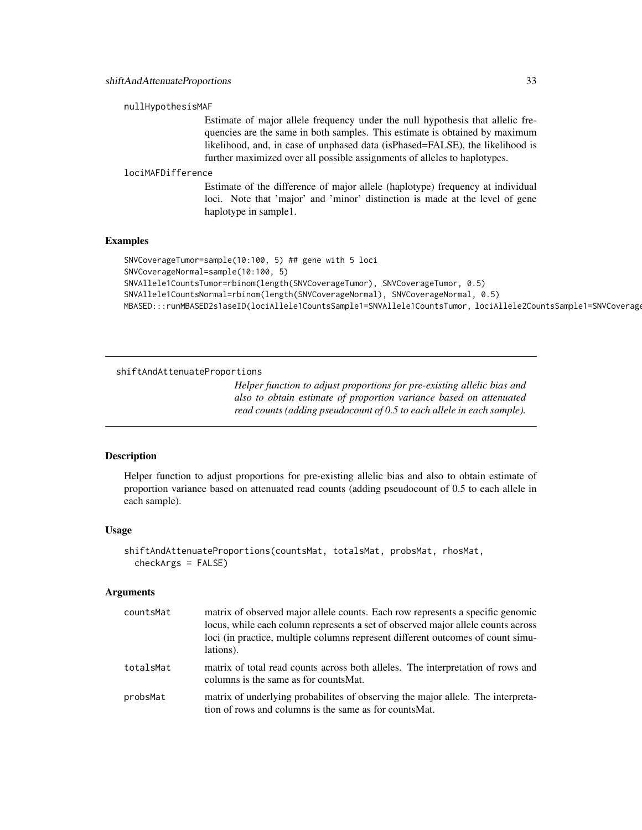#### <span id="page-32-0"></span>nullHypothesisMAF

Estimate of major allele frequency under the null hypothesis that allelic frequencies are the same in both samples. This estimate is obtained by maximum likelihood, and, in case of unphased data (isPhased=FALSE), the likelihood is further maximized over all possible assignments of alleles to haplotypes.

#### lociMAFDifference

Estimate of the difference of major allele (haplotype) frequency at individual loci. Note that 'major' and 'minor' distinction is made at the level of gene haplotype in sample1.

#### Examples

```
SNVCoverageTumor=sample(10:100, 5) ## gene with 5 loci
SNVCoverageNormal=sample(10:100, 5)
SNVAllele1CountsTumor=rbinom(length(SNVCoverageTumor), SNVCoverageTumor, 0.5)
SNVAllele1CountsNormal=rbinom(length(SNVCoverageNormal), SNVCoverageNormal, 0.5)
MBASED:::runMBASED2s1aseID(lociAllele1CountsSample1=SNVAllele1CountsTumor, lociAllele2CountsSample1=SNVCoverag
```
shiftAndAttenuateProportions

*Helper function to adjust proportions for pre-existing allelic bias and also to obtain estimate of proportion variance based on attenuated read counts (adding pseudocount of 0.5 to each allele in each sample).*

#### Description

Helper function to adjust proportions for pre-existing allelic bias and also to obtain estimate of proportion variance based on attenuated read counts (adding pseudocount of 0.5 to each allele in each sample).

#### Usage

```
shiftAndAttenuateProportions(countsMat, totalsMat, probsMat, rhosMat,
  checkArgs = FALSE)
```
#### Arguments

| countsMat | matrix of observed major allele counts. Each row represents a specific genomic<br>locus, while each column represents a set of observed major allele counts across<br>loci (in practice, multiple columns represent different outcomes of count simu-<br>lations). |
|-----------|--------------------------------------------------------------------------------------------------------------------------------------------------------------------------------------------------------------------------------------------------------------------|
| totalsMat | matrix of total read counts across both alleles. The interpretation of rows and<br>columns is the same as for counts Mat.                                                                                                                                          |
| probsMat  | matrix of underlying probabilities of observing the major allele. The interpreta-<br>tion of rows and columns is the same as for counts Mat.                                                                                                                       |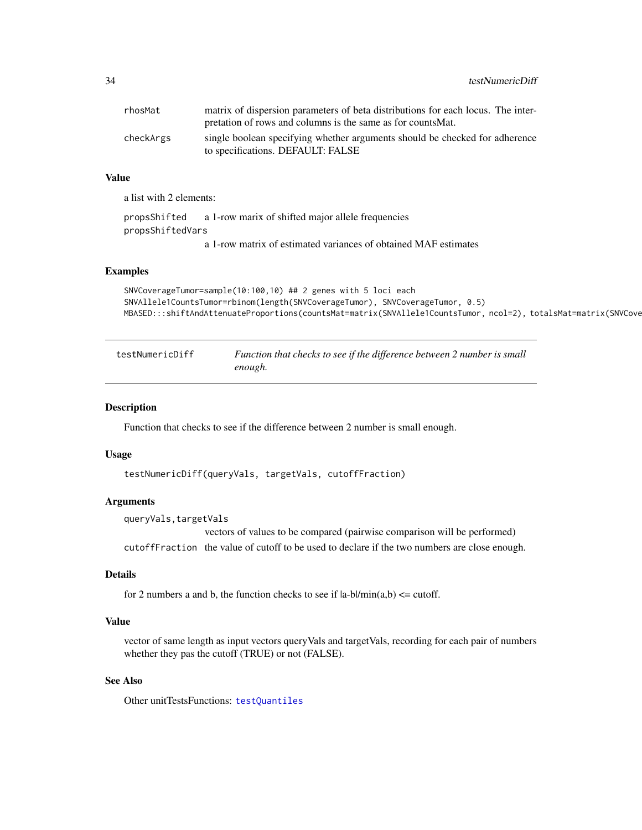<span id="page-33-0"></span>34 testNumericDiff

| rhosMat   | matrix of dispersion parameters of beta distributions for each locus. The inter-<br>pretation of rows and columns is the same as for counts Mat. |
|-----------|--------------------------------------------------------------------------------------------------------------------------------------------------|
| checkArgs | single boolean specifying whether arguments should be checked for adherence<br>to specifications. DEFAULT: FALSE                                 |

#### Value

a list with 2 elements:

propsShifted a 1-row marix of shifted major allele frequencies propsShiftedVars a 1-row matrix of estimated variances of obtained MAF estimates

#### Examples

```
SNVCoverageTumor=sample(10:100,10) ## 2 genes with 5 loci each
SNVAllele1CountsTumor=rbinom(length(SNVCoverageTumor), SNVCoverageTumor, 0.5)
MBASED:::shiftAndAttenuateProportions(countsMat=matrix(SNVAllele1CountsTumor, ncol=2), totalsMat=matrix(SNVCove
```
<span id="page-33-1"></span>

| testNumericDiff | Function that checks to see if the difference between 2 number is small |
|-----------------|-------------------------------------------------------------------------|
|                 | enough.                                                                 |

#### Description

Function that checks to see if the difference between 2 number is small enough.

#### Usage

```
testNumericDiff(queryVals, targetVals, cutoffFraction)
```
#### Arguments

queryVals,targetVals

vectors of values to be compared (pairwise comparison will be performed) cutoffFraction the value of cutoff to be used to declare if the two numbers are close enough.

#### Details

for 2 numbers a and b, the function checks to see if  $|a-b|/min(a,b) \leq$  cutoff.

#### Value

vector of same length as input vectors queryVals and targetVals, recording for each pair of numbers whether they pas the cutoff (TRUE) or not (FALSE).

#### See Also

Other unitTestsFunctions: [testQuantiles](#page-34-1)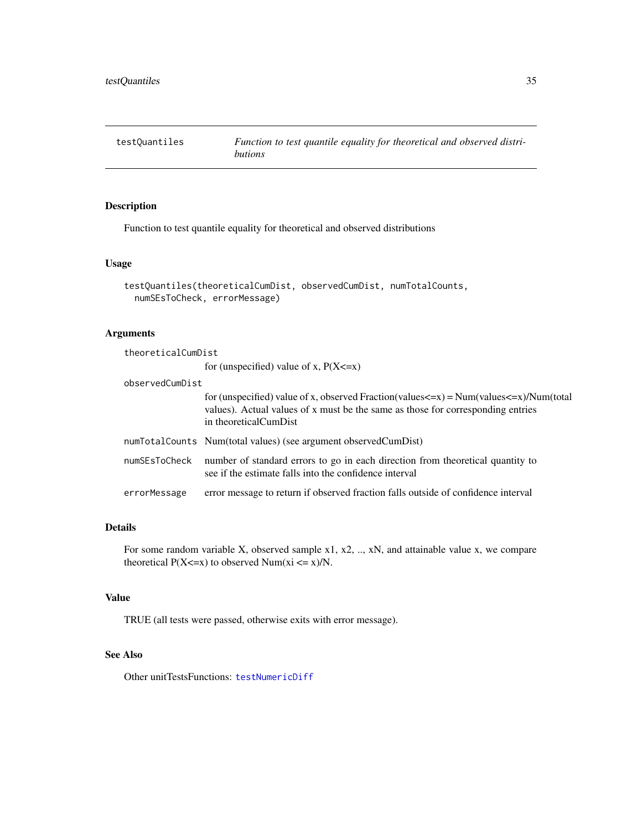<span id="page-34-1"></span><span id="page-34-0"></span>

#### Description

Function to test quantile equality for theoretical and observed distributions

#### Usage

```
testQuantiles(theoreticalCumDist, observedCumDist, numTotalCounts,
 numSEsToCheck, errorMessage)
```
#### Arguments

| theoreticalCumDist |                                                                                                                                                                                                                                     |  |
|--------------------|-------------------------------------------------------------------------------------------------------------------------------------------------------------------------------------------------------------------------------------|--|
|                    | for (unspecified) value of x, $P(X \le x)$                                                                                                                                                                                          |  |
| observedCumDist    |                                                                                                                                                                                                                                     |  |
|                    | for (unspecified) value of x, observed Fraction(values $\langle x \rangle$ = Num(values $\langle x \rangle$ )/Num(total<br>values). Actual values of x must be the same as those for corresponding entries<br>in theoreticalCumDist |  |
|                    | num Total Counts Num (total values) (see argument observed Cum Dist)                                                                                                                                                                |  |
| numSEsToCheck      | number of standard errors to go in each direction from theoretical quantity to<br>see if the estimate falls into the confidence interval                                                                                            |  |
| errorMessage       | error message to return if observed fraction falls outside of confidence interval                                                                                                                                                   |  |

#### Details

For some random variable X, observed sample x1, x2, .., xN, and attainable value x, we compare theoretical  $P(X \le x)$  to observed Num(xi  $\le x$ )/N.

#### Value

TRUE (all tests were passed, otherwise exits with error message).

#### See Also

Other unitTestsFunctions: [testNumericDiff](#page-33-1)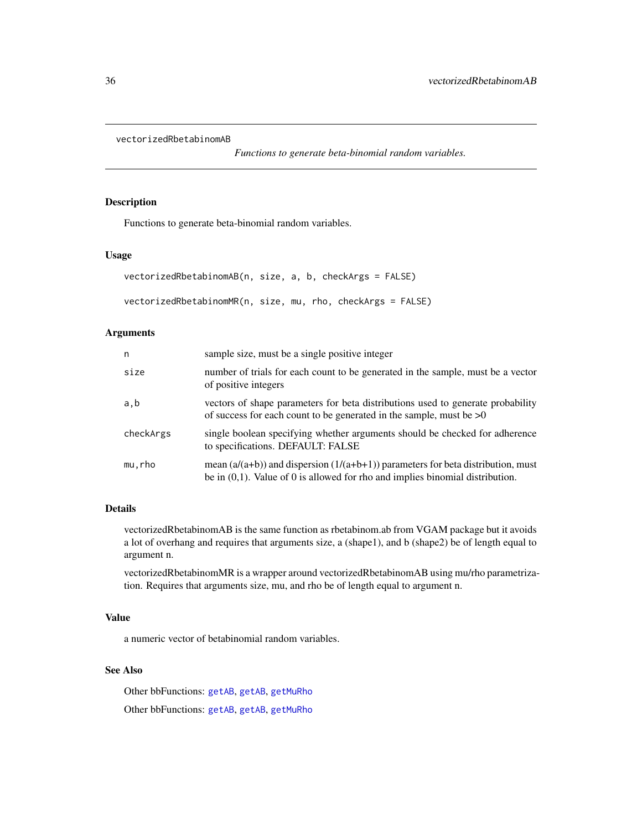```
vectorizedRbetabinomAB
```
*Functions to generate beta-binomial random variables.*

#### <span id="page-35-2"></span>Description

Functions to generate beta-binomial random variables.

#### Usage

```
vectorizedRbetabinomAB(n, size, a, b, checkArgs = FALSE)
vectorizedRbetabinomMR(n, size, mu, rho, checkArgs = FALSE)
```
#### Arguments

| n         | sample size, must be a single positive integer                                                                                                                           |
|-----------|--------------------------------------------------------------------------------------------------------------------------------------------------------------------------|
| size      | number of trials for each count to be generated in the sample, must be a vector<br>of positive integers                                                                  |
| a,b       | vectors of shape parameters for beta distributions used to generate probability<br>of success for each count to be generated in the sample, must be $>0$                 |
| checkArgs | single boolean specifying whether arguments should be checked for adherence<br>to specifications. DEFAULT: FALSE                                                         |
| mu,rho    | mean $(a/(a+b))$ and dispersion $(1/(a+b+1))$ parameters for beta distribution, must<br>be in $(0,1)$ . Value of 0 is allowed for rho and implies binomial distribution. |

#### Details

vectorizedRbetabinomAB is the same function as rbetabinom.ab from VGAM package but it avoids a lot of overhang and requires that arguments size, a (shape1), and b (shape2) be of length equal to argument n.

vectorizedRbetabinomMR is a wrapper around vectorizedRbetabinomAB using mu/rho parametrization. Requires that arguments size, mu, and rho be of length equal to argument n.

#### Value

a numeric vector of betabinomial random variables.

#### See Also

Other bbFunctions: [getAB](#page-5-1), [getAB](#page-5-1), [getMuRho](#page-5-2) Other bbFunctions: [getAB](#page-5-1), [getAB](#page-5-1), [getMuRho](#page-5-2)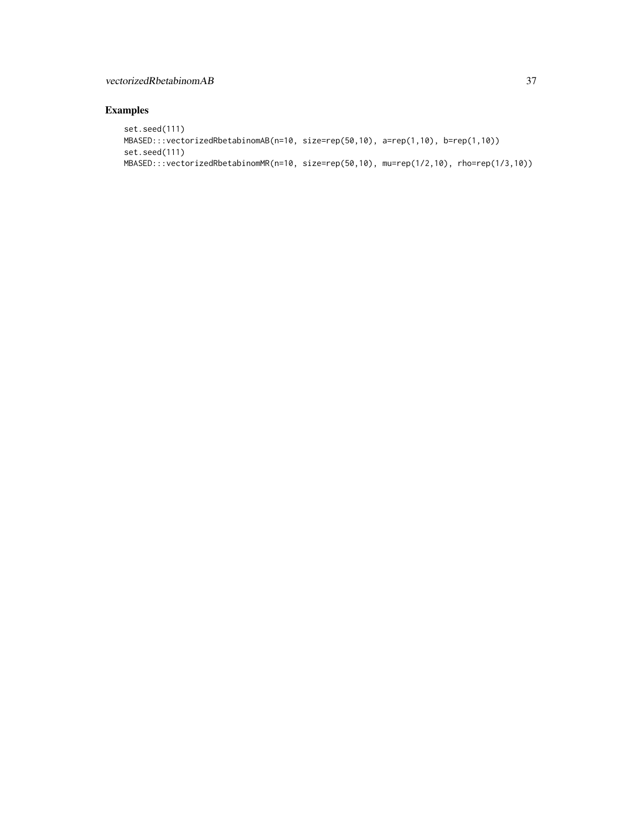#### vectorizedRbetabinomAB 37

#### Examples

```
set.seed(111)
MBASED:::vectorizedRbetabinomAB(n=10, size=rep(50,10), a=rep(1,10), b=rep(1,10))
set.seed(111)
MBASED:::vectorizedRbetabinomMR(n=10, size=rep(50,10), mu=rep(1/2,10), rho=rep(1/3,10))
```